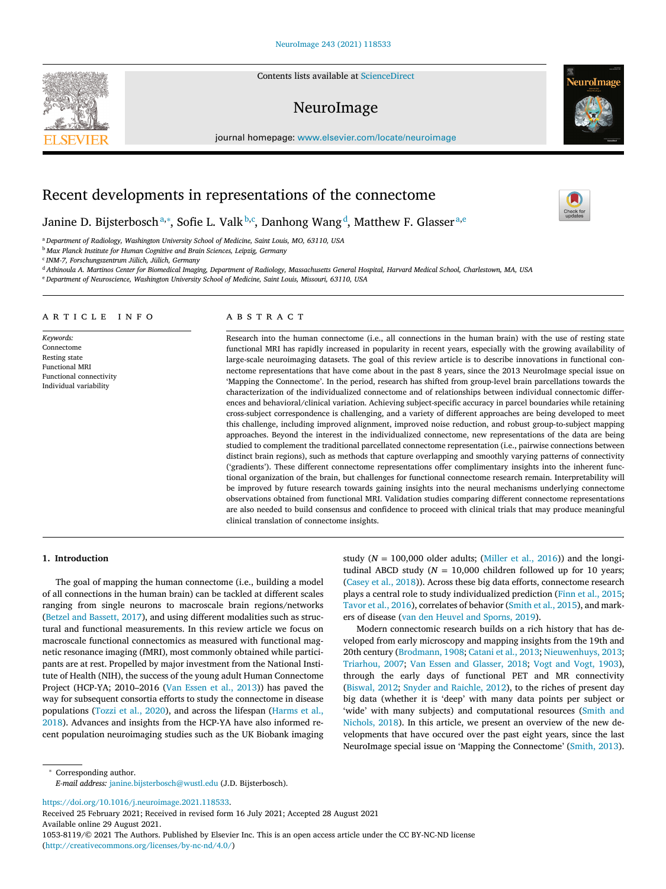Contents lists available at [ScienceDirect](http://www.ScienceDirect.com)

# NeuroImage

journal homepage: [www.elsevier.com/locate/neuroimage](http://www.elsevier.com/locate/neuroimage)

# Recent developments in representations of the connectome

Janine D. Bijsterboschª,\*, Sofie L. Valk<sup>b,c</sup>, Danhong Wang<sup>d</sup>, Matthew F. Glasser<sup>a,e</sup>

<sup>a</sup> *Department of Radiology, Washington University School of Medicine, Saint Louis, MO, 63110, USA*

<sup>b</sup> *Max Planck Institute for Human Cognitive and Brain Sciences, Leipzig, Germany*

<sup>c</sup> *INM-7, Forschungszentrum Jülich, Jülich, Germany*

<sup>d</sup> Athinoula A. Martinos Center for Biomedical Imaging, Department of Radiology, Massachusetts General Hospital, Harvard Medical School, Charlestown, MA, USA

<sup>e</sup> *Department of Neuroscience, Washington University School of Medicine, Saint Louis, Missouri, 63110, USA*

## a r t i c l e i n f o

*Keywords:* Connectome Resting state Functional MRI Functional connectivity Individual variability

## A B S T R A C T

Research into the human connectome (i.e., all connections in the human brain) with the use of resting state functional MRI has rapidly increased in popularity in recent years, especially with the growing availability of large-scale neuroimaging datasets. The goal of this review article is to describe innovations in functional connectome representations that have come about in the past 8 years, since the 2013 NeuroImage special issue on 'Mapping the Connectome'. In the period, research has shifted from group-level brain parcellations towards the characterization of the individualized connectome and of relationships between individual connectomic differences and behavioral/clinical variation. Achieving subject-specific accuracy in parcel boundaries while retaining cross-subject correspondence is challenging, and a variety of different approaches are being developed to meet this challenge, including improved alignment, improved noise reduction, and robust group-to-subject mapping approaches. Beyond the interest in the individualized connectome, new representations of the data are being studied to complement the traditional parcellated connectome representation (i.e., pairwise connections between distinct brain regions), such as methods that capture overlapping and smoothly varying patterns of connectivity ('gradients'). These different connectome representations offer complimentary insights into the inherent functional organization of the brain, but challenges for functional connectome research remain. Interpretability will be improved by future research towards gaining insights into the neural mechanisms underlying connectome observations obtained from functional MRI. Validation studies comparing different connectome representations are also needed to build consensus and confidence to proceed with clinical trials that may produce meaningful clinical translation of connectome insights.

## **1. Introduction**

The goal of mapping the human connectome (i.e., building a model of all connections in the human brain) can be tackled at different scales ranging from single neurons to macroscale brain regions/networks (Betzel and [Bassett,](#page-7-0) 2017), and using different modalities such as structural and functional measurements. In this review article we focus on macroscale functional connectomics as measured with functional magnetic resonance imaging (fMRI), most commonly obtained while participants are at rest. Propelled by major investment from the National Institute of Health (NIH), the success of the young adult Human Connectome Project (HCP-YA; 2010–2016 (Van [Essen](#page-9-0) et al., 2013)) has paved the way for subsequent consortia efforts to study the connectome in disease [populations](#page-8-0) [\(Tozzi](#page-9-0) et al., 2020), and across the lifespan (Harms et al., 2018). Advances and insights from the HCP-YA have also informed recent population neuroimaging studies such as the UK Biobank imaging

study ( $N = 100,000$  older adults; [\(Miller](#page-8-0) et al., 2016)) and the longitudinal ABCD study ( $N = 10,000$  children followed up for 10 years; [\(Casey](#page-7-0) et al., 2018)). Across these big data efforts, connectome research plays a central role to study individualized prediction (Finn et al., [2015;](#page-7-0) [Tavor](#page-9-0) et al., 2016), correlates of behavior [\(Smith](#page-9-0) et al., 2015), and markers of disease (van den Heuvel and [Sporns,](#page-9-0) 2019).

Modern connectomic research builds on a rich history that has developed from early microscopy and mapping insights from the 19th and 20th century [\(Brodmann,](#page-7-0) 1908; [Catani](#page-7-0) et al., 2013; [Nieuwenhuys,](#page-8-0) 2013; [Triarhou,](#page-9-0) 2007; Van Essen and [Glasser,](#page-9-0) 2018; Vogt and Vogt, [1903\)](#page-9-0), through the early days of functional PET and MR connectivity [\(Biswal,](#page-7-0) 2012; Snyder and [Raichle,](#page-9-0) 2012), to the riches of present day big data (whether it is 'deep' with many data points per subject or 'wide' with many subjects) and [computational](#page-9-0) resources (Smith and Nichols, 2018). In this article, we present an overview of the new developments that have occured over the past eight years, since the last NeuroImage special issue on 'Mapping the Connectome' [\(Smith,](#page-9-0) 2013).

<sup>∗</sup> Corresponding author. *E-mail address:* [janine.bijsterbosch@wustl.edu](mailto:janine.bijsterbosch@wustl.edu) (J.D. Bijsterbosch).

[https://doi.org/10.1016/j.neuroimage.2021.118533.](https://doi.org/10.1016/j.neuroimage.2021.118533)

Received 25 February 2021; Received in revised form 16 July 2021; Accepted 28 August 2021 Available online 29 August 2021.

1053-8119/© 2021 The Authors. Published by Elsevier Inc. This is an open access article under the CC BY-NC-ND license [\(http://creativecommons.org/licenses/by-nc-nd/4.0/\)](http://creativecommons.org/licenses/by-nc-nd/4.0/)



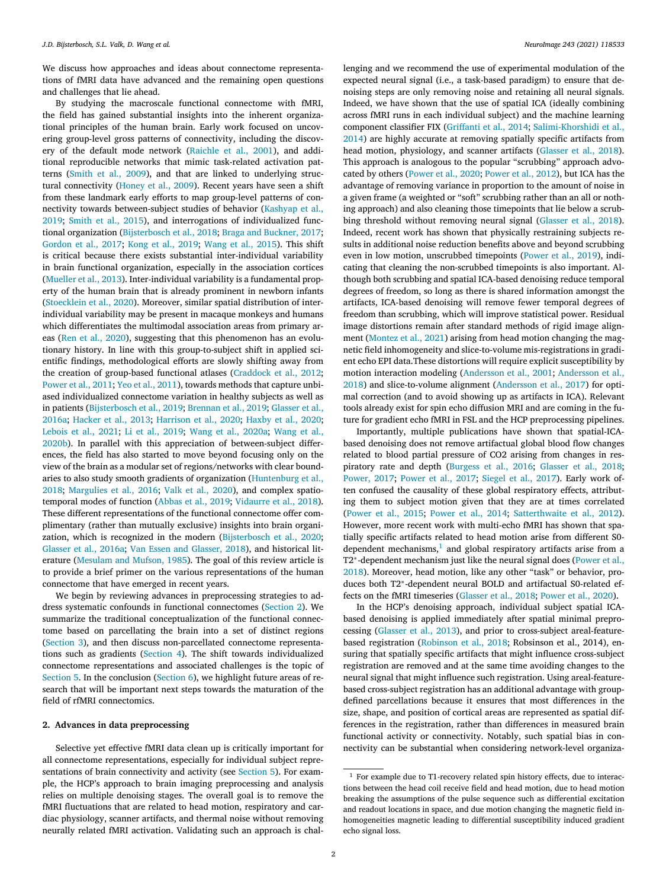<span id="page-1-0"></span>We discuss how approaches and ideas about connectome representations of fMRI data have advanced and the remaining open questions and challenges that lie ahead.

By studying the macroscale functional connectome with fMRI, the field has gained substantial insights into the inherent organizational principles of the human brain. Early work focused on uncovering group-level gross patterns of connectivity, including the discovery of the default mode network [\(Raichle](#page-9-0) et al., 2001), and additional reproducible networks that mimic task-related activation patterns [\(Smith](#page-9-0) et al., 2009), and that are linked to underlying structural connectivity [\(Honey](#page-8-0) et al., 2009). Recent years have seen a shift from these landmark early efforts to map group-level patterns of connectivity towards [between-subject](#page-8-0) studies of behavior (Kashyap et al., 2019; [Smith](#page-9-0) et al., 2015), and interrogations of individualized functional organization [\(Bijsterbosch](#page-7-0) et al., 2018; Braga and [Buckner,](#page-7-0) 2017; [Gordon](#page-8-0) et al., 2017; Kong et al., [2019;](#page-8-0) [Wang](#page-9-0) et al., 2015). This shift is critical because there exists substantial inter-individual variability in brain functional organization, especially in the association cortices [\(Mueller](#page-8-0) et al., 2013). Inter-individual variability is a fundamental property of the human brain that is already prominent in newborn infants [\(Stoecklein](#page-9-0) et al., 2020). Moreover, similar spatial distribution of interindividual variability may be present in macaque monkeys and humans which differentiates the multimodal association areas from primary areas (Ren et al., [2020\)](#page-9-0), suggesting that this phenomenon has an evolutionary history. In line with this group-to-subject shift in applied scientific findings, methodological efforts are slowly shifting away from the creation of group-based functional atlases [\(Craddock](#page-7-0) et al., 2012; [Power](#page-9-0) et al., 2011; Yeo et al., [2011\)](#page-10-0), towards methods that capture unbiased individualized connectome variation in healthy subjects as well as in patients [\(](#page-8-0)[Bijsterbosch](#page-7-0) et al., 2019; [Brennan](#page-7-0) et al., 2019; Glasser et al., 2016a; [Hacker](#page-8-0) et al., 2013; [Harrison](#page-8-0) et al., 2020; [Haxby](#page-8-0) et al., 2020; [Lebois](#page-8-0) et al., 2021; Li et al., [2019;](#page-8-0) Wang et al., [2020a;](#page-9-0) Wang et al., 2020b). In parallel with this appreciation of [between-subject](#page-9-0) differences, the field has also started to move beyond focusing only on the view of the brain as a modular set of regions/networks with clear boundaries to also study smooth gradients of organization [\(Huntenburg](#page-8-0) et al., 2018; [Margulies](#page-8-0) et al., 2016; Valk et al., [2020\)](#page-9-0), and complex spatiotemporal modes of function [\(Abbas](#page-7-0) et al., 2019; [Vidaurre](#page-9-0) et al., 2018). These different representations of the functional connectome offer complimentary (rather than mutually exclusive) insights into brain organization, which is recognized in the modern [\(Bijsterbosch](#page-7-0) et al., 2020; [Glasser](#page-8-0) et al., 2016a; Van Essen and [Glasser,](#page-9-0) 2018), and historical literature [\(Mesulam](#page-8-0) and Mufson, 1985). The goal of this review article is to provide a brief primer on the various representations of the human connectome that have emerged in recent years.

We begin by reviewing advances in preprocessing strategies to address systematic confounds in functional connectomes (Section 2). We summarize the traditional conceptualization of the functional connectome based on parcellating the brain into a set of distinct regions [\(Section](#page-2-0) 3), and then discuss non-parcellated connectome representations such as gradients [\(Section](#page-4-0) 4). The shift towards individualized connectome representations and associated challenges is the topic of [Section](#page-4-0) 5. In the conclusion [\(Section](#page-6-0) 6), we highlight future areas of research that will be important next steps towards the maturation of the field of rfMRI connectomics.

## **2. Advances in data preprocessing**

Selective yet effective fMRI data clean up is critically important for all connectome representations, especially for individual subject representations of brain connectivity and activity (see [Section](#page-4-0) 5). For example, the HCP's approach to brain imaging preprocessing and analysis relies on multiple denoising stages. The overall goal is to remove the fMRI fluctuations that are related to head motion, respiratory and cardiac physiology, scanner artifacts, and thermal noise without removing neurally related fMRI activation. Validating such an approach is challenging and we recommend the use of experimental modulation of the expected neural signal (i.e., a task-based paradigm) to ensure that denoising steps are only removing noise and retaining all neural signals. Indeed, we have shown that the use of spatial ICA (ideally combining across fMRI runs in each individual subject) and the machine learning component classifier FIX [\(Griffanti](#page-8-0) et al., 2014; [Salimi-Khorshidi](#page-9-0) et al., 2014) are highly accurate at removing spatially specific artifacts from head motion, physiology, and scanner artifacts [\(Glasser](#page-8-0) et al., 2018). This approach is analogous to the popular "scrubbing" approach advocated by others [\(Power](#page-9-0) et al., 2020; [Power](#page-9-0) et al., 2012), but ICA has the advantage of removing variance in proportion to the amount of noise in a given frame (a weighted or "soft" scrubbing rather than an all or nothing approach) and also cleaning those timepoints that lie below a scrubbing threshold without removing neural signal [\(Glasser](#page-8-0) et al., 2018). Indeed, recent work has shown that physically restraining subjects results in additional noise reduction benefits above and beyond scrubbing even in low motion, unscrubbed timepoints [\(Power](#page-9-0) et al., 2019), indicating that cleaning the non-scrubbed timepoints is also important. Although both scrubbing and spatial ICA-based denoising reduce temporal degrees of freedom, so long as there is shared information amongst the artifacts, ICA-based denoising will remove fewer temporal degrees of freedom than scrubbing, which will improve statistical power. Residual image distortions remain after standard methods of rigid image alignment [\(Montez](#page-8-0) et al., 2021) arising from head motion changing the magnetic field inhomogeneity and slice-to-volume mis-registrations in gradient echo EPI data.These distortions will require explicit susceptibility by motion interaction modeling [\(Andersson](#page-7-0) et al., 2001; Andersson et al., 2018) and [slice-to-volume](#page-7-0) alignment [\(Andersson](#page-7-0) et al., 2017) for optimal correction (and to avoid showing up as artifacts in ICA). Relevant tools already exist for spin echo diffusion MRI and are coming in the future for gradient echo fMRI in FSL and the HCP preprocessing pipelines.

Importantly, multiple publications have shown that spatial-ICAbased denoising does not remove artifactual global blood flow changes related to blood partial pressure of CO2 arising from changes in respiratory rate and depth [\(Burgess](#page-7-0) et al., 2016; [Glasser](#page-8-0) et al., 2018; [Power,](#page-9-0) 2017; [Power](#page-9-0) et al., 2017; [Siegel](#page-9-0) et al., 2017). Early work often confused the causality of these global respiratory effects, attributing them to subject motion given that they are at times correlated [\(Power](#page-9-0) et al., 2015; [Power](#page-9-0) et al., 2014; [Satterthwaite](#page-9-0) et al., 2012). However, more recent work with multi-echo fMRI has shown that spatially specific artifacts related to head motion arise from different S0 dependent mechanisms, $<sup>1</sup>$  and global respiratory artifacts arise from a</sup> T2<sup>∗</sup>-dependent [mechanism](#page-9-0) just like the neural signal does (Power et al., 2018). Moreover, head motion, like any other "task" or behavior, produces both T2∗-dependent neural BOLD and artifactual S0-related effects on the fMRI timeseries [\(Glasser](#page-8-0) et al., 2018; [Power](#page-9-0) et al., 2020).

In the HCP's denoising approach, individual subject spatial ICAbased denoising is applied immediately after spatial minimal preprocessing [\(Glasser](#page-8-0) et al., 2013), and prior to cross-subject areal-featurebased registration [\(Robinson](#page-9-0) et al., 2018; Robsinson et al., 2014), ensuring that spatially specific artifacts that might influence cross-subject registration are removed and at the same time avoiding changes to the neural signal that might influence such registration. Using areal-featurebased cross-subject registration has an additional advantage with groupdefined parcellations because it ensures that most differences in the size, shape, and position of cortical areas are represented as spatial differences in the registration, rather than differences in measured brain functional activity or connectivity. Notably, such spatial bias in connectivity can be substantial when considering network-level organiza-

<sup>&</sup>lt;sup>1</sup> For example due to T1-recovery related spin history effects, due to interactions between the head coil receive field and head motion, due to head motion breaking the assumptions of the pulse sequence such as differential excitation and readout locations in space, and due motion changing the magnetic field inhomogeneities magnetic leading to differential susceptibility induced gradient echo signal loss.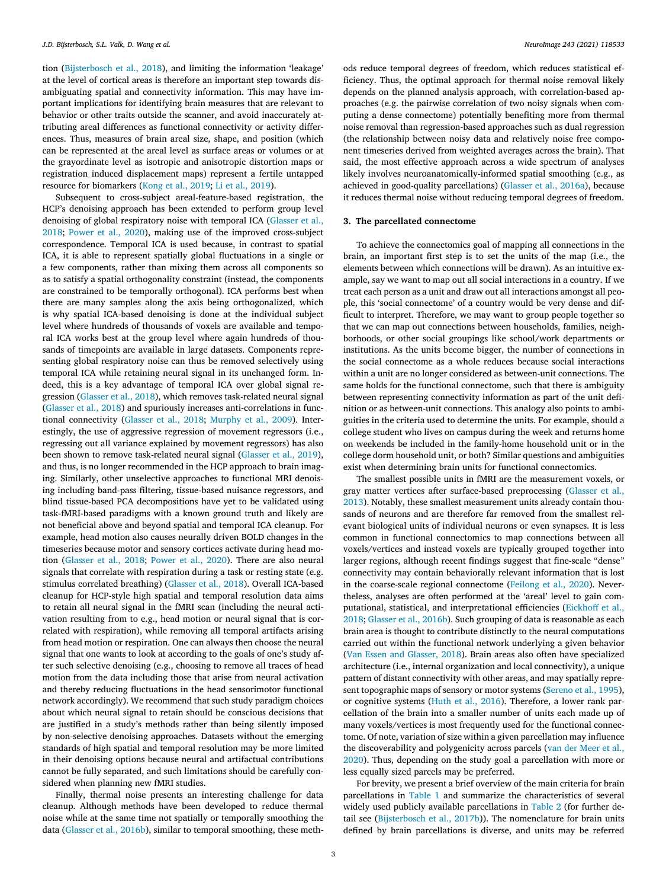<span id="page-2-0"></span>tion [\(Bijsterbosch](#page-7-0) et al., 2018), and limiting the information 'leakage' at the level of cortical areas is therefore an important step towards disambiguating spatial and connectivity information. This may have important implications for identifying brain measures that are relevant to behavior or other traits outside the scanner, and avoid inaccurately attributing areal differences as functional connectivity or activity differences. Thus, measures of brain areal size, shape, and position (which can be represented at the areal level as surface areas or volumes or at the grayordinate level as isotropic and anisotropic distortion maps or registration induced displacement maps) represent a fertile untapped resource for biomarkers [\(Kong](#page-8-0) et al., 2019; Li et al., [2019\)](#page-8-0).

Subsequent to cross-subject areal-feature-based registration, the HCP's denoising approach has been extended to perform group level denoising of global respiratory noise with temporal ICA (Glasser et al., 2018; [Power](#page-9-0) et al., 2020), making use of the improved [cross-subject](#page-8-0) correspondence. Temporal ICA is used because, in contrast to spatial ICA, it is able to represent spatially global fluctuations in a single or a few components, rather than mixing them across all components so as to satisfy a spatial orthogonality constraint (instead, the components are constrained to be temporally orthogonal). ICA performs best when there are many samples along the axis being orthogonalized, which is why spatial ICA-based denoising is done at the individual subject level where hundreds of thousands of voxels are available and temporal ICA works best at the group level where again hundreds of thousands of timepoints are available in large datasets. Components representing global respiratory noise can thus be removed selectively using temporal ICA while retaining neural signal in its unchanged form. Indeed, this is a key advantage of temporal ICA over global signal regression [\(Glasser](#page-8-0) et al., 2018), which removes task-related neural signal [\(Glasser](#page-8-0) et al., 2018) and spuriously increases anti-correlations in functional connectivity [\(Glasser](#page-8-0) et al., 2018; [Murphy](#page-8-0) et al., 2009). Interestingly, the use of aggressive regression of movement regressors (i.e., regressing out all variance explained by movement regressors) has also been shown to remove task-related neural signal [\(Glasser](#page-8-0) et al., 2019), and thus, is no longer recommended in the HCP approach to brain imaging. Similarly, other unselective approaches to functional MRI denoising including band-pass filtering, tissue-based nuisance regressors, and blind tissue-based PCA decompositions have yet to be validated using task-fMRI-based paradigms with a known ground truth and likely are not beneficial above and beyond spatial and temporal ICA cleanup. For example, head motion also causes neurally driven BOLD changes in the timeseries because motor and sensory cortices activate during head motion [\(Glasser](#page-8-0) et al., 2018; [Power](#page-9-0) et al., 2020). There are also neural signals that correlate with respiration during a task or resting state (e.g. stimulus correlated breathing) [\(Glasser](#page-8-0) et al., 2018). Overall ICA-based cleanup for HCP-style high spatial and temporal resolution data aims to retain all neural signal in the fMRI scan (including the neural activation resulting from to e.g., head motion or neural signal that is correlated with respiration), while removing all temporal artifacts arising from head motion or respiration. One can always then choose the neural signal that one wants to look at according to the goals of one's study after such selective denoising (e.g., choosing to remove all traces of head motion from the data including those that arise from neural activation and thereby reducing fluctuations in the head sensorimotor functional network accordingly). We recommend that such study paradigm choices about which neural signal to retain should be conscious decisions that are justified in a study's methods rather than being silently imposed by non-selective denoising approaches. Datasets without the emerging standards of high spatial and temporal resolution may be more limited in their denoising options because neural and artifactual contributions cannot be fully separated, and such limitations should be carefully considered when planning new fMRI studies.

Finally, thermal noise presents an interesting challenge for data cleanup. Although methods have been developed to reduce thermal noise while at the same time not spatially or temporally smoothing the data [\(Glasser](#page-8-0) et al., 2016b), similar to temporal smoothing, these methods reduce temporal degrees of freedom, which reduces statistical efficiency. Thus, the optimal approach for thermal noise removal likely depends on the planned analysis approach, with correlation-based approaches (e.g. the pairwise correlation of two noisy signals when computing a dense connectome) potentially benefiting more from thermal noise removal than regression-based approaches such as dual regression (the relationship between noisy data and relatively noise free component timeseries derived from weighted averages across the brain). That said, the most effective approach across a wide spectrum of analyses likely involves neuroanatomically-informed spatial smoothing (e.g., as achieved in good-quality parcellations) [\(Glasser](#page-8-0) et al., 2016a), because it reduces thermal noise without reducing temporal degrees of freedom.

## **3. The parcellated connectome**

To achieve the connectomics goal of mapping all connections in the brain, an important first step is to set the units of the map (i.e., the elements between which connections will be drawn). As an intuitive example, say we want to map out all social interactions in a country. If we treat each person as a unit and draw out all interactions amongst all people, this 'social connectome' of a country would be very dense and difficult to interpret. Therefore, we may want to group people together so that we can map out connections between households, families, neighborhoods, or other social groupings like school/work departments or institutions. As the units become bigger, the number of connections in the social connectome as a whole reduces because social interactions within a unit are no longer considered as between-unit connections. The same holds for the functional connectome, such that there is ambiguity between representing connectivity information as part of the unit definition or as between-unit connections. This analogy also points to ambiguities in the criteria used to determine the units. For example, should a college student who lives on campus during the week and returns home on weekends be included in the family-home household unit or in the college dorm household unit, or both? Similar questions and ambiguities exist when determining brain units for functional connectomics.

The smallest possible units in fMRI are the measurement voxels, or gray matter vertices after surface-based [preprocessing](#page-8-0) (Glasser et al., 2013). Notably, these smallest measurement units already contain thousands of neurons and are therefore far removed from the smallest relevant biological units of individual neurons or even synapses. It is less common in functional connectomics to map connections between all voxels/vertices and instead voxels are typically grouped together into larger regions, although recent findings suggest that fine-scale "dense" connectivity may contain behaviorally relevant information that is lost in the coarse-scale regional connectome [\(Feilong](#page-7-0) et al., 2020). Nevertheless, analyses are often performed at the 'areal' level to gain computational, statistical, and [interpretational](#page-7-0) efficiencies (Eickhoff et al., 2018; [Glasser](#page-8-0) et al., 2016b). Such grouping of data is reasonable as each brain area is thought to contribute distinctly to the neural computations carried out within the functional network underlying a given behavior (Van Essen and [Glasser,](#page-9-0) 2018). Brain areas also often have specialized architecture (i.e., internal organization and local connectivity), a unique pattern of distant connectivity with other areas, and may spatially represent topographic maps of sensory or motor systems [\(Sereno](#page-9-0) et al., 1995), or cognitive systems (Huth et al., [2016\)](#page-8-0). Therefore, a lower rank parcellation of the brain into a smaller number of units each made up of many voxels/vertices is most frequently used for the functional connectome. Of note, variation of size within a given parcellation may influence the [discoverability](#page-9-0) and polygenicity across parcels (van der Meer et al., 2020). Thus, depending on the study goal a parcellation with more or less equally sized parcels may be preferred.

For brevity, we present a brief overview of the main criteria for brain parcellations in [Table](#page-3-0) 1 and summarize the characteristics of several widely used publicly available parcellations in [Table](#page-3-0) 2 (for further detail see [\(Bijsterbosch](#page-7-0) et al., 2017b)). The nomenclature for brain units defined by brain parcellations is diverse, and units may be referred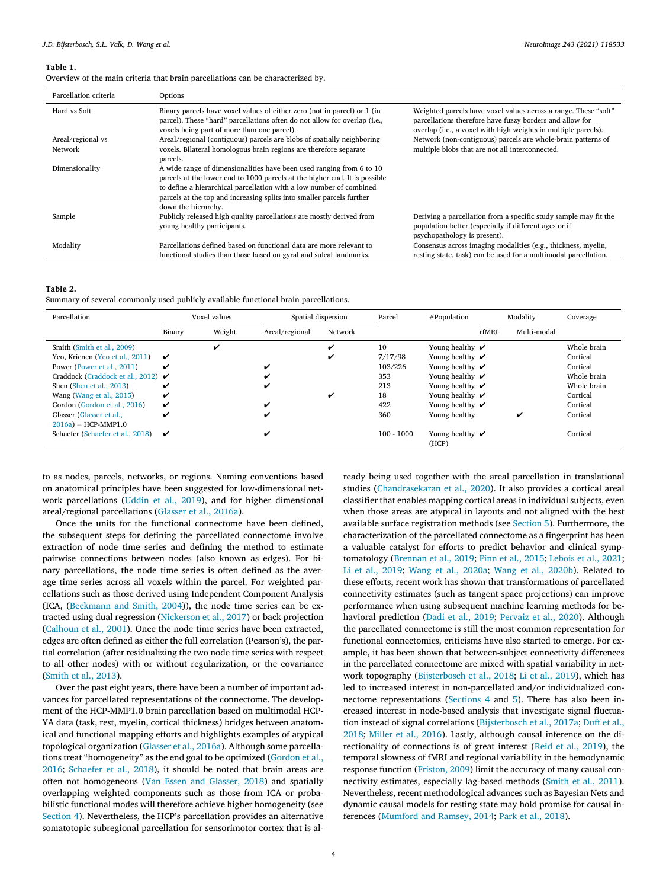#### <span id="page-3-0"></span>**Table 1.**

Overview of the main criteria that brain parcellations can be characterized by.

| Parcellation criteria | Options                                                                                                                                                                                                                                                                                                                   |                                                                                                                                                                                               |
|-----------------------|---------------------------------------------------------------------------------------------------------------------------------------------------------------------------------------------------------------------------------------------------------------------------------------------------------------------------|-----------------------------------------------------------------------------------------------------------------------------------------------------------------------------------------------|
| Hard vs Soft          | Binary parcels have voxel values of either zero (not in parcel) or 1 (in<br>parcel). These "hard" parcellations often do not allow for overlap (i.e.,<br>voxels being part of more than one parcel).                                                                                                                      | Weighted parcels have voxel values across a range. These "soft"<br>parcellations therefore have fuzzy borders and allow for<br>overlap (i.e., a voxel with high weights in multiple parcels). |
| Areal/regional vs     | Areal/regional (contiguous) parcels are blobs of spatially neighboring                                                                                                                                                                                                                                                    | Network (non-contiguous) parcels are whole-brain patterns of                                                                                                                                  |
| Network               | voxels. Bilateral homologous brain regions are therefore separate<br>parcels.                                                                                                                                                                                                                                             | multiple blobs that are not all interconnected.                                                                                                                                               |
| Dimensionality        | A wide range of dimensionalities have been used ranging from 6 to 10<br>parcels at the lower end to 1000 parcels at the higher end. It is possible<br>to define a hierarchical parcellation with a low number of combined<br>parcels at the top and increasing splits into smaller parcels further<br>down the hierarchy. |                                                                                                                                                                                               |
| Sample                | Publicly released high quality parcellations are mostly derived from<br>young healthy participants.                                                                                                                                                                                                                       | Deriving a parcellation from a specific study sample may fit the<br>population better (especially if different ages or if<br>psychopathology is present).                                     |
| Modality              | Parcellations defined based on functional data are more relevant to                                                                                                                                                                                                                                                       | Consensus across imaging modalities (e.g., thickness, myelin,                                                                                                                                 |
|                       | functional studies than those based on gyral and sulcal landmarks.                                                                                                                                                                                                                                                        | resting state, task) can be used for a multimodal parcellation.                                                                                                                               |

**Table 2.** Summary of several commonly used publicly available functional brain parcellations.

| Parcellation                                  |        | Voxel values |                | Spatial dispersion | Parcel       | #Population                         |       | Modality    | Coverage    |
|-----------------------------------------------|--------|--------------|----------------|--------------------|--------------|-------------------------------------|-------|-------------|-------------|
|                                               | Binary | Weight       | Areal/regional | Network            |              |                                     | rfMRI | Multi-modal |             |
| Smith (Smith et al., 2009)                    |        |              |                | ✓                  | 10           | Young healthy $\boldsymbol{\nu}$    |       |             | Whole brain |
| Yeo, Krienen (Yeo et al., 2011)               | ✓      |              |                | v                  | 7/17/98      | Young healthy $\boldsymbol{\nu}$    |       |             | Cortical    |
| Power (Power et al., 2011)                    | ✓      |              | ✓              |                    | 103/226      | Young healthy $\mathbf{\check{v}}$  |       |             | Cortical    |
| Craddock (Craddock et al., 2012) $\checkmark$ |        |              | v              |                    | 353          | Young healthy $\boldsymbol{\nu}$    |       |             | Whole brain |
| Shen (Shen et al., 2013)                      | ✔      |              | ✔              |                    | 213          | Young healthy $\checkmark$          |       |             | Whole brain |
| Wang (Wang et al., 2015)                      | ✓      |              |                | ✓                  | 18           | Young healthy $\checkmark$          |       |             | Cortical    |
| Gordon (Gordon et al., 2016)                  | ✓      |              | ✓              |                    | 422          | Young healthy $\boldsymbol{\nu}$    |       |             | Cortical    |
| Glasser (Glasser et al.,                      | ✓      |              | v              |                    | 360          | Young healthy                       |       |             | Cortical    |
| $2016a$ = HCP-MMP1.0                          |        |              |                |                    |              |                                     |       |             |             |
| Schaefer (Schaefer et al., 2018)              | ✓      |              | ✓              |                    | $100 - 1000$ | Young healthy $\checkmark$<br>(HCP) |       |             | Cortical    |

to as nodes, parcels, networks, or regions. Naming conventions based on anatomical principles have been suggested for low-dimensional network parcellations [\(Uddin](#page-9-0) et al., 2019), and for higher dimensional areal/regional parcellations [\(Glasser](#page-8-0) et al., 2016a).

Once the units for the functional connectome have been defined, the subsequent steps for defining the parcellated connectome involve extraction of node time series and defining the method to estimate pairwise connections between nodes (also known as edges). For binary parcellations, the node time series is often defined as the average time series across all voxels within the parcel. For weighted parcellations such as those derived using Independent Component Analysis (ICA, [\(Beckmann](#page-7-0) and Smith, 2004)), the node time series can be extracted using dual regression [\(Nickerson](#page-8-0) et al., 2017) or back projection [\(Calhoun](#page-7-0) et al., 2001). Once the node time series have been extracted, edges are often defined as either the full correlation (Pearson's), the partial correlation (after residualizing the two node time series with respect to all other nodes) with or without regularization, or the covariance [\(Smith](#page-9-0) et al., 2013).

Over the past eight years, there have been a number of important advances for parcellated representations of the connectome. The development of the HCP-MMP1.0 brain parcellation based on multimodal HCP-YA data (task, rest, myelin, cortical thickness) bridges between anatomical and functional mapping efforts and highlights examples of atypical topological organization [\(Glasser](#page-8-0) et al., 2016a). Although some parcellations treat ["homogeneity" as](#page-8-0) the end goal to be optimized (Gordon et al., 2016; [Schaefer](#page-9-0) et al., 2018), it should be noted that brain areas are often not homogeneous (Van Essen and [Glasser,](#page-9-0) 2018) and spatially overlapping weighted components such as those from ICA or probabilistic functional modes will therefore achieve higher homogeneity (see [Section](#page-4-0) 4). Nevertheless, the HCP's parcellation provides an alternative somatotopic subregional parcellation for sensorimotor cortex that is al-

ready being used together with the areal parcellation in translational studies [\(Chandrasekaran](#page-7-0) et al., 2020). It also provides a cortical areal classifier that enables mapping cortical areas in individual subjects, even when those areas are atypical in layouts and not aligned with the best available surface registration methods (see [Section](#page-4-0) 5). Furthermore, the characterization of the parcellated connectome as a fingerprint has been a valuable catalyst for efforts to predict behavior and clinical symptomatology [\(Brennan](#page-7-0) et al., 2019; Finn et al., [2015;](#page-7-0) [Lebois](#page-8-0) et al., 2021; Li et al., [2019;](#page-8-0) Wang et al., [2020a;](#page-9-0) Wang et al., [2020b\)](#page-9-0). Related to these efforts, recent work has shown that transformations of parcellated connectivity estimates (such as tangent space projections) can improve performance when using subsequent machine learning methods for behavioral prediction (Dadi et al., [2019;](#page-7-0) [Pervaiz](#page-8-0) et al., 2020). Although the parcellated connectome is still the most common representation for functional connectomics, criticisms have also started to emerge. For example, it has been shown that between-subject connectivity differences in the parcellated connectome are mixed with spatial variability in network topography [\(Bijsterbosch](#page-7-0) et al., 2018; Li et al., [2019\)](#page-8-0), which has led to increased interest in non-parcellated and/or individualized connectome representations [\(Sections](#page-4-0) 4 and [5\)](#page-4-0). There has also been increased interest in node-based analysis that investigate signal fluctuation instead of signal correlations [\(Bijsterbosch](#page-7-0) et al., 2017a; Duff et al., 2018; [Miller](#page-8-0) et al., 2016). Lastly, although causal inference on the directionality of connections is of great interest (Reid et al., [2019\)](#page-9-0), the temporal slowness of fMRI and regional variability in the hemodynamic response function [\(Friston,](#page-8-0) 2009) limit the accuracy of many causal connectivity estimates, especially lag-based methods [\(Smith](#page-9-0) et al., 2011). Nevertheless, recent methodological advances such as Bayesian Nets and dynamic causal models for resting state may hold promise for causal inferences [\(Mumford](#page-8-0) and Ramsey, 2014; Park et al., [2018\)](#page-8-0).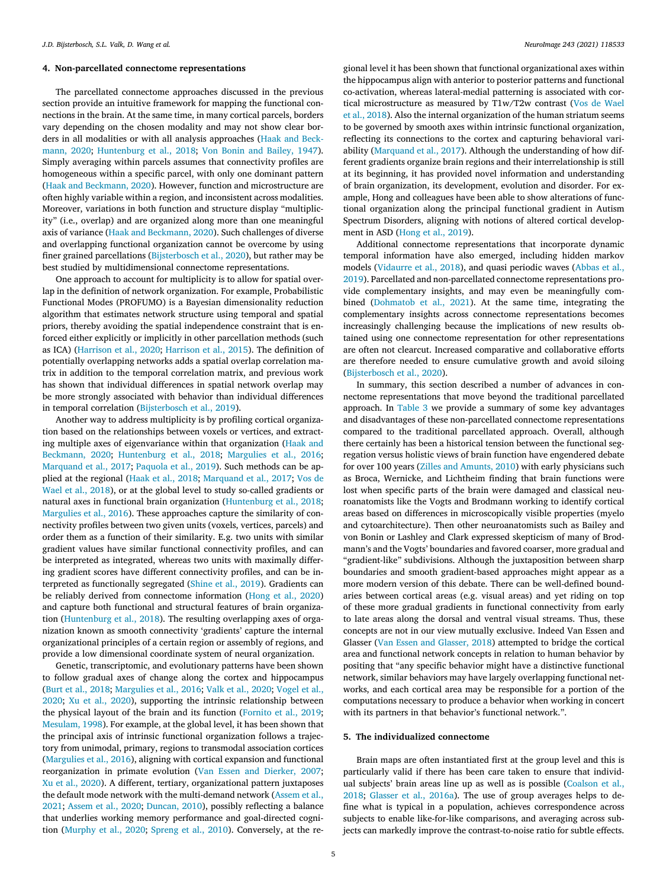# <span id="page-4-0"></span>**4. Non-parcellated connectome representations**

The parcellated connectome approaches discussed in the previous section provide an intuitive framework for mapping the functional connections in the brain. At the same time, in many cortical parcels, borders vary depending on the chosen modality and may not show clear borders in all modalities or with all analysis approaches (Haak and Beckmann, 2020; [Huntenburg](#page-8-0) et al., 2018; Von Bonin and [Bailey,](#page-9-0) 1947). Simply averaging within parcels assumes that connectivity profiles are homogeneous within a specific parcel, with only one dominant pattern (Haak and [Beckmann,](#page-8-0) 2020). However, function and microstructure are often highly variable within a region, and inconsistent across modalities. Moreover, variations in both function and structure display "multiplicity" (i.e., overlap) and are organized along more than one meaningful axis of variance (Haak and [Beckmann,](#page-8-0) 2020). Such challenges of diverse and overlapping functional organization cannot be overcome by using finer grained parcellations [\(Bijsterbosch](#page-7-0) et al., 2020), but rather may be best studied by multidimensional connectome representations.

One approach to account for multiplicity is to allow for spatial overlap in the definition of network organization. For example, Probabilistic Functional Modes (PROFUMO) is a Bayesian dimensionality reduction algorithm that estimates network structure using temporal and spatial priors, thereby avoiding the spatial independence constraint that is enforced either explicitly or implicitly in other parcellation methods (such as ICA) [\(Harrison](#page-8-0) et al., 2020; [Harrison](#page-8-0) et al., 2015). The definition of potentially overlapping networks adds a spatial overlap correlation matrix in addition to the temporal correlation matrix, and previous work has shown that individual differences in spatial network overlap may be more strongly associated with behavior than individual differences in temporal correlation [\(Bijsterbosch](#page-7-0) et al., 2019).

Another way to address multiplicity is by profiling cortical organization based on the relationships between voxels or vertices, and extracting multiple axes of [eigenvariance](#page-8-0) within that organization (Haak and Beckmann, 2020; [Huntenburg](#page-8-0) et al., 2018; [Margulies](#page-8-0) et al., 2016; [Marquand](#page-8-0) et al., 2017; [Paquola](#page-8-0) et al., 2019). Such methods can be applied at the regional (Haak et al., [2018;](#page-8-0) [Marquand](#page-8-0) et al., 2017; Vos de Wael et al., 2018), or at the global level to study so-called gradients or natural axes in functional brain organization [\(Huntenburg](#page-8-0) et al., 2018; [Margulies](#page-8-0) et al., 2016). These approaches capture the similarity of connectivity profiles between two given units (voxels, vertices, parcels) and order them as a function of their similarity. E.g. two units with similar gradient values have similar functional connectivity profiles, and can be interpreted as integrated, whereas two units with maximally differing gradient scores have different connectivity profiles, and can be interpreted as functionally segregated [\(Shine](#page-9-0) et al., 2019). Gradients can be reliably derived from connectome information [\(Hong](#page-8-0) et al., 2020) and capture both functional and structural features of brain organization [\(Huntenburg](#page-8-0) et al., 2018). The resulting overlapping axes of organization known as smooth connectivity 'gradients' capture the internal organizational principles of a certain region or assembly of regions, and provide a low dimensional coordinate system of neural organization.

Genetic, transcriptomic, and evolutionary patterns have been shown to follow gradual axes of change along the cortex and hippocampus (Burt et al., [2018;](#page-7-0) [Margulies](#page-8-0) et al., 2016; Valk et al., [2020;](#page-9-0) Vogel et al., 2020; Xu et al., [2020\)](#page-10-0), supporting the intrinsic [relationship](#page-9-0) between the physical layout of the brain and its function [\(Fornito](#page-7-0) et al., 2019; [Mesulam,](#page-8-0) 1998). For example, at the global level, it has been shown that the principal axis of intrinsic functional organization follows a trajectory from unimodal, primary, regions to transmodal association cortices [\(Margulies](#page-8-0) et al., 2016), aligning with cortical expansion and functional reorganization in primate evolution (Van Essen and [Dierker,](#page-9-0) 2007; Xu et al., [2020\)](#page-10-0). A different, tertiary, organizational pattern juxtaposes the default mode network with the [multi-demand](#page-7-0) network (Assem et al., 2021; [Assem](#page-7-0) et al., 2020; [Duncan,](#page-7-0) 2010), possibly reflecting a balance that underlies working memory performance and goal-directed cognition [\(Murphy](#page-8-0) et al., 2020; [Spreng](#page-9-0) et al., 2010). Conversely, at the re-

gional level it has been shown that functional organizational axes within the hippocampus align with anterior to posterior patterns and functional co-activation, whereas lateral-medial patterning is associated with cortical [microstructure](#page-9-0) as measured by T1w/T2w contrast (Vos de Wael et al., 2018). Also the internal organization of the human striatum seems to be governed by smooth axes within intrinsic functional organization, reflecting its connections to the cortex and capturing behavioral variability [\(Marquand](#page-8-0) et al., 2017). Although the understanding of how different gradients organize brain regions and their interrelationship is still at its beginning, it has provided novel information and understanding of brain organization, its development, evolution and disorder. For example, Hong and colleagues have been able to show alterations of functional organization along the principal functional gradient in Autism Spectrum Disorders, aligning with notions of altered cortical development in ASD [\(Hong](#page-8-0) et al., 2019).

Additional connectome representations that incorporate dynamic temporal information have also emerged, including hidden markov models [\(Vidaurre](#page-9-0) et al., 2018), and quasi periodic waves (Abbas et al., 2019). Parcellated and [non-parcellated](#page-7-0) connectome representations provide complementary insights, and may even be meaningfully combined [\(Dohmatob](#page-7-0) et al., 2021). At the same time, integrating the complementary insights across connectome representations becomes increasingly challenging because the implications of new results obtained using one connectome representation for other representations are often not clearcut. Increased comparative and collaborative efforts are therefore needed to ensure cumulative growth and avoid siloing [\(Bijsterbosch](#page-7-0) et al., 2020).

In summary, this section described a number of advances in connectome representations that move beyond the traditional parcellated approach. In [Table](#page-5-0) 3 we provide a summary of some key advantages and disadvantages of these non-parcellated connectome representations compared to the traditional parcellated approach. Overall, although there certainly has been a historical tension between the functional segregation versus holistic views of brain function have engendered debate for over 100 years (Zilles and [Amunts,](#page-10-0) 2010) with early physicians such as Broca, Wernicke, and Lichtheim finding that brain functions were lost when specific parts of the brain were damaged and classical neuroanatomists like the Vogts and Brodmann working to identify cortical areas based on differences in microscopically visible properties (myelo and cytoarchitecture). Then other neuroanatomists such as Bailey and von Bonin or Lashley and Clark expressed skepticism of many of Brodmann's and the Vogts' boundaries and favored coarser, more gradual and "gradient-like" subdivisions. Although the juxtaposition between sharp boundaries and smooth gradient-based approaches might appear as a more modern version of this debate. There can be well-defined boundaries between cortical areas (e.g. visual areas) and yet riding on top of these more gradual gradients in functional connectivity from early to late areas along the dorsal and ventral visual streams. Thus, these concepts are not in our view mutually exclusive. Indeed Van Essen and Glasser (Van Essen and [Glasser,](#page-9-0) 2018) attempted to bridge the cortical area and functional network concepts in relation to human behavior by positing that "any specific behavior might have a distinctive functional network, similar behaviors may have largely overlapping functional networks, and each cortical area may be responsible for a portion of the computations necessary to produce a behavior when working in concert with its partners in that behavior's functional network.".

## **5. The individualized connectome**

Brain maps are often instantiated first at the group level and this is particularly valid if there has been care taken to ensure that individual subjects' brain areas line up as well as is possible [\(Coalson](#page-7-0) et al., 2018; [Glasser](#page-8-0) et al., 2016a). The use of group averages helps to define what is typical in a population, achieves correspondence across subjects to enable like-for-like comparisons, and averaging across subjects can markedly improve the contrast-to-noise ratio for subtle effects.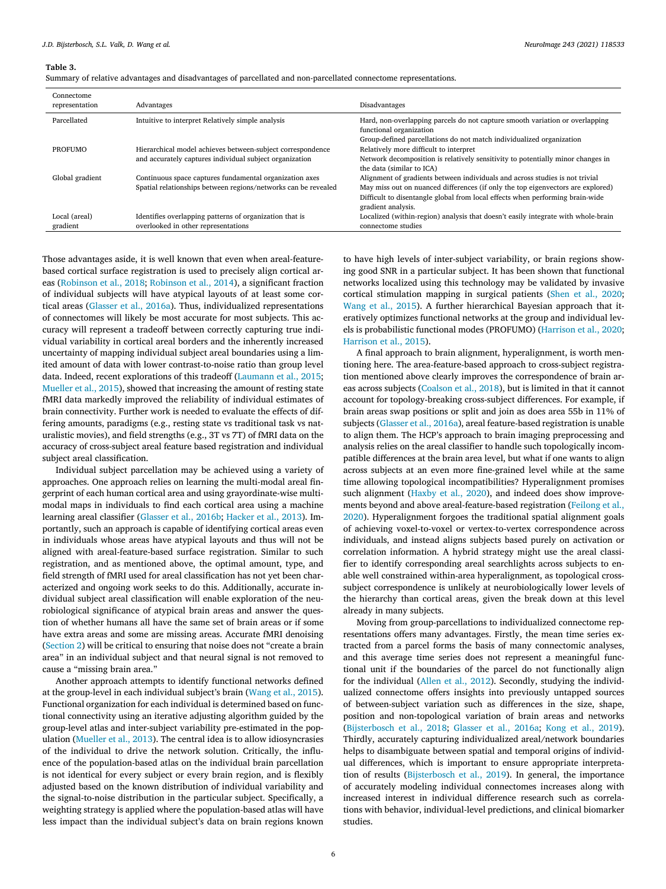#### <span id="page-5-0"></span>**Table 3.**

Summary of relative advantages and disadvantages of parcellated and non-parcellated connectome representations.

| Connectome<br>representation | Advantages                                                     | Disadvantages                                                                     |
|------------------------------|----------------------------------------------------------------|-----------------------------------------------------------------------------------|
|                              |                                                                |                                                                                   |
| Parcellated                  | Intuitive to interpret Relatively simple analysis              | Hard, non-overlapping parcels do not capture smooth variation or overlapping      |
|                              |                                                                | functional organization                                                           |
|                              |                                                                | Group-defined parcellations do not match individualized organization              |
| <b>PROFUMO</b>               | Hierarchical model achieves between-subject correspondence     | Relatively more difficult to interpret                                            |
|                              | and accurately captures individual subject organization        | Network decomposition is relatively sensitivity to potentially minor changes in   |
|                              |                                                                | the data (similar to ICA)                                                         |
| Global gradient              | Continuous space captures fundamental organization axes        | Alignment of gradients between individuals and across studies is not trivial      |
|                              | Spatial relationships between regions/networks can be revealed | May miss out on nuanced differences (if only the top eigenvectors are explored)   |
|                              |                                                                | Difficult to disentangle global from local effects when performing brain-wide     |
|                              |                                                                | gradient analysis.                                                                |
| Local (areal)                | Identifies overlapping patterns of organization that is        | Localized (within-region) analysis that doesn't easily integrate with whole-brain |
| gradient                     | overlooked in other representations                            | connectome studies                                                                |

Those advantages aside, it is well known that even when areal-featurebased cortical surface registration is used to precisely align cortical areas [\(Robinson](#page-9-0) et al., 2018; [Robinson](#page-9-0) et al., 2014), a significant fraction of individual subjects will have atypical layouts of at least some cortical areas [\(Glasser](#page-8-0) et al., 2016a). Thus, individualized representations of connectomes will likely be most accurate for most subjects. This accuracy will represent a tradeoff between correctly capturing true individual variability in cortical areal borders and the inherently increased uncertainty of mapping individual subject areal boundaries using a limited amount of data with lower contrast-to-noise ratio than group level data. Indeed, recent explorations of this tradeoff [\(Laumann](#page-8-0) et al., 2015; [Mueller](#page-8-0) et al., 2015), showed that increasing the amount of resting state fMRI data markedly improved the reliability of individual estimates of brain connectivity. Further work is needed to evaluate the effects of differing amounts, paradigms (e.g., resting state vs traditional task vs naturalistic movies), and field strengths (e.g., 3T vs 7T) of fMRI data on the accuracy of cross-subject areal feature based registration and individual subject areal classification.

Individual subject parcellation may be achieved using a variety of approaches. One approach relies on learning the multi-modal areal fingerprint of each human cortical area and using grayordinate-wise multimodal maps in individuals to find each cortical area using a machine learning areal classifier [\(Glasser](#page-8-0) et al., 2016b; [Hacker](#page-8-0) et al., 2013). Importantly, such an approach is capable of identifying cortical areas even in individuals whose areas have atypical layouts and thus will not be aligned with areal-feature-based surface registration. Similar to such registration, and as mentioned above, the optimal amount, type, and field strength of fMRI used for areal classification has not yet been characterized and ongoing work seeks to do this. Additionally, accurate individual subject areal classification will enable exploration of the neurobiological significance of atypical brain areas and answer the question of whether humans all have the same set of brain areas or if some have extra areas and some are missing areas. Accurate fMRI denoising [\(Section](#page-1-0) 2) will be critical to ensuring that noise does not "create a brain area" in an individual subject and that neural signal is not removed to cause a "missing brain area."

Another approach attempts to identify functional networks defined at the group-level in each individual subject's brain [\(Wang](#page-9-0) et al., 2015). Functional organization for each individual is determined based on functional connectivity using an iterative adjusting algorithm guided by the group-level atlas and inter-subject variability pre-estimated in the population [\(Mueller](#page-8-0) et al., 2013). The central idea is to allow idiosyncrasies of the individual to drive the network solution. Critically, the influence of the population-based atlas on the individual brain parcellation is not identical for every subject or every brain region, and is flexibly adjusted based on the known distribution of individual variability and the signal-to-noise distribution in the particular subject. Specifically, a weighting strategy is applied where the population-based atlas will have less impact than the individual subject's data on brain regions known

to have high levels of inter-subject variability, or brain regions showing good SNR in a particular subject. It has been shown that functional networks localized using this technology may be validated by invasive cortical stimulation mapping in surgical patients (Shen et al., [2020;](#page-9-0) [Wang](#page-9-0) et al., 2015). A further hierarchical Bayesian approach that iteratively optimizes functional networks at the group and individual levels is probabilistic functional modes (PROFUMO) [\(Harrison](#page-8-0) et al., 2020; Harrison et al., 2015).

A final approach to brain alignment, hyperalignment, is worth mentioning here. The area-feature-based approach to cross-subject registration mentioned above clearly improves the correspondence of brain areas across subjects [\(Coalson](#page-7-0) et al., 2018), but is limited in that it cannot account for topology-breaking cross-subject differences. For example, if brain areas swap positions or split and join as does area 55b in 11% of subjects [\(Glasser](#page-8-0) et al., 2016a), areal feature-based registration is unable to align them. The HCP's approach to brain imaging preprocessing and analysis relies on the areal classifier to handle such topologically incompatible differences at the brain area level, but what if one wants to align across subjects at an even more fine-grained level while at the same time allowing topological incompatibilities? Hyperalignment promises such alignment [\(Haxby](#page-8-0) et al., 2020), and indeed does show improvements beyond and above [areal-feature-based](#page-7-0) registration (Feilong et al., 2020). Hyperalignment forgoes the traditional spatial alignment goals of achieving voxel-to-voxel or vertex-to-vertex correspondence across individuals, and instead aligns subjects based purely on activation or correlation information. A hybrid strategy might use the areal classifier to identify corresponding areal searchlights across subjects to enable well constrained within-area hyperalignment, as topological crosssubject correspondence is unlikely at neurobiologically lower levels of the hierarchy than cortical areas, given the break down at this level already in many subjects.

Moving from group-parcellations to individualized connectome representations offers many advantages. Firstly, the mean time series extracted from a parcel forms the basis of many connectomic analyses, and this average time series does not represent a meaningful functional unit if the boundaries of the parcel do not functionally align for the individual (Allen et al., [2012\)](#page-7-0). Secondly, studying the individualized connectome offers insights into previously untapped sources of between-subject variation such as differences in the size, shape, position and non-topological variation of brain areas and networks [\(Bijsterbosch](#page-7-0) et al., 2018; [Glasser](#page-8-0) et al., 2016a; Kong et al., [2019\)](#page-8-0). Thirdly, accurately capturing individualized areal/network boundaries helps to disambiguate between spatial and temporal origins of individual differences, which is important to ensure appropriate interpretation of results [\(Bijsterbosch](#page-7-0) et al., 2019). In general, the importance of accurately modeling individual connectomes increases along with increased interest in individual difference research such as correlations with behavior, individual-level predictions, and clinical biomarker studies.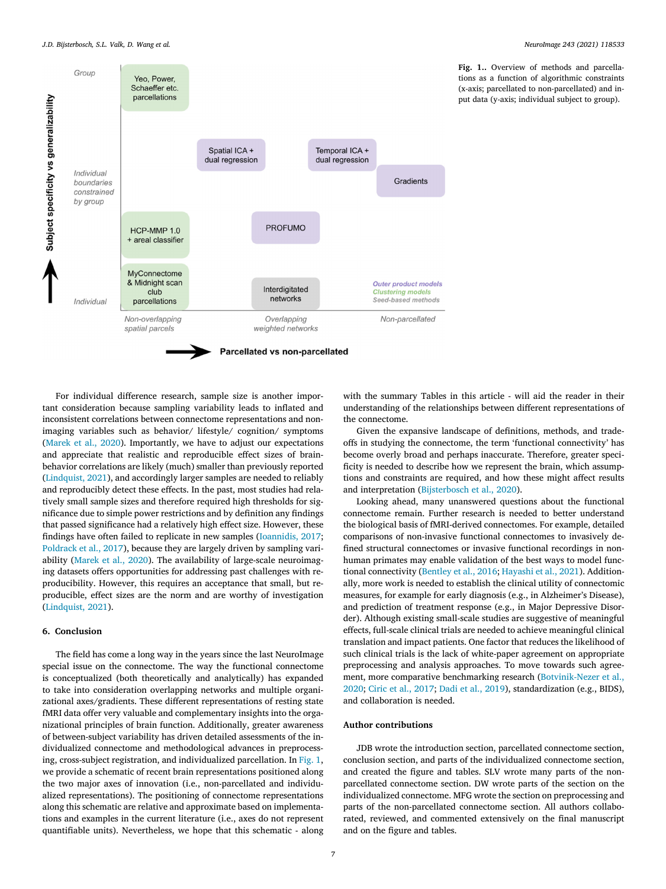<span id="page-6-0"></span>

**Fig. 1..** Overview of methods and parcellations as a function of algorithmic constraints (x-axis; parcellated to non-parcellated) and input data (y-axis; individual subject to group).

For individual difference research, sample size is another important consideration because sampling variability leads to inflated and inconsistent correlations between connectome representations and nonimaging variables such as behavior/ lifestyle/ cognition/ symptoms [\(Marek](#page-8-0) et al., 2020). Importantly, we have to adjust our expectations and appreciate that realistic and reproducible effect sizes of brainbehavior correlations are likely (much) smaller than previously reported [\(Lindquist,](#page-8-0) 2021), and accordingly larger samples are needed to reliably and reproducibly detect these effects. In the past, most studies had relatively small sample sizes and therefore required high thresholds for significance due to simple power restrictions and by definition any findings that passed significance had a relatively high effect size. However, these findings have often failed to replicate in new samples [\(Ioannidis,](#page-8-0) 2017; [Poldrack](#page-8-0) et al., 2017), because they are largely driven by sampling variability [\(Marek](#page-8-0) et al., 2020). The availability of large-scale neuroimaging datasets offers opportunities for addressing past challenges with reproducibility. However, this requires an acceptance that small, but reproducible, effect sizes are the norm and are worthy of investigation [\(Lindquist,](#page-8-0) 2021).

# **6. Conclusion**

The field has come a long way in the years since the last NeuroImage special issue on the connectome. The way the functional connectome is conceptualized (both theoretically and analytically) has expanded to take into consideration overlapping networks and multiple organizational axes/gradients. These different representations of resting state fMRI data offer very valuable and complementary insights into the organizational principles of brain function. Additionally, greater awareness of between-subject variability has driven detailed assessments of the individualized connectome and methodological advances in preprocessing, cross-subject registration, and individualized parcellation. In Fig. 1, we provide a schematic of recent brain representations positioned along the two major axes of innovation (i.e., non-parcellated and individualized representations). The positioning of connectome representations along this schematic are relative and approximate based on implementations and examples in the current literature (i.e., axes do not represent quantifiable units). Nevertheless, we hope that this schematic - along with the summary Tables in this article - will aid the reader in their understanding of the relationships between different representations of the connectome.

Given the expansive landscape of definitions, methods, and tradeoffs in studying the connectome, the term 'functional connectivity' has become overly broad and perhaps inaccurate. Therefore, greater specificity is needed to describe how we represent the brain, which assumptions and constraints are required, and how these might affect results and interpretation [\(Bijsterbosch](#page-7-0) et al., 2020).

Looking ahead, many unanswered questions about the functional connectome remain. Further research is needed to better understand the biological basis of fMRI-derived connectomes. For example, detailed comparisons of non-invasive functional connectomes to invasively defined structural connectomes or invasive functional recordings in nonhuman primates may enable validation of the best ways to model functional connectivity [\(Bentley](#page-7-0) et al., 2016; [Hayashi](#page-8-0) et al., 2021). Additionally, more work is needed to establish the clinical utility of connectomic measures, for example for early diagnosis (e.g., in Alzheimer's Disease), and prediction of treatment response (e.g., in Major Depressive Disorder). Although existing small-scale studies are suggestive of meaningful effects, full-scale clinical trials are needed to achieve meaningful clinical translation and impact patients. One factor that reduces the likelihood of such clinical trials is the lack of white-paper agreement on appropriate preprocessing and analysis approaches. To move towards such agreement, more comparative benchmarking research [\(Botvinik-Nezer](#page-7-0) et al., 2020; Ciric et al., [2017;](#page-7-0) Dadi et al., [2019\)](#page-7-0), standardization (e.g., BIDS), and collaboration is needed.

# **Author contributions**

JDB wrote the introduction section, parcellated connectome section, conclusion section, and parts of the individualized connectome section, and created the figure and tables. SLV wrote many parts of the nonparcellated connectome section. DW wrote parts of the section on the individualized connectome. MFG wrote the section on preprocessing and parts of the non-parcellated connectome section. All authors collaborated, reviewed, and commented extensively on the final manuscript and on the figure and tables.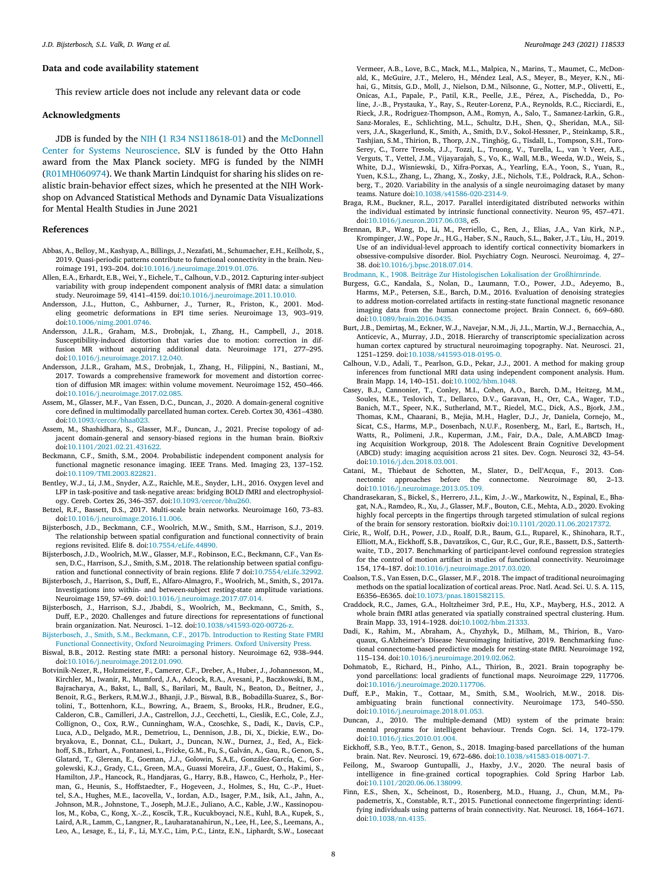## <span id="page-7-0"></span>**Data and code availability statement**

This review article does not include any relevant data or code

#### **Acknowledgments**

JDB is funded by the [NIH](https://doi.org/10.13039/100000098) (1 R34 [NS118618-01\)](https://doi.org/10.13039/100009607) and the McDonnell Center for Systems Neuroscience. SLV is funded by the Otto Hahn award from the Max Planck society. MFG is funded by the NIMH (R01MH060974). We thank Martin Lindquist for sharing his slides on realistic brain-behavior effect sizes, which he presented at the NIH Workshop on Advanced Statistical Methods and Dynamic Data Visualizations for Mental Health Studies in June 2021

#### **References**

- Abbas, A., Belloy, M., Kashyap, A., Billings, J., Nezafati, M., Schumacher, E.H., Keilholz, S., 2019. Quasi-periodic patterns contribute to functional connectivity in the brain. Neuroimage 191, 193–204. doi[:10.1016/j.neuroimage.2019.01.076.](https://doi.org/10.1016/j.neuroimage.2019.01.076)
- Allen, E.A., Erhardt, E.B., Wei, Y., Eichele, T., Calhoun, V.D., 2012. Capturing inter-subject variability with group independent component analysis of fMRI data: a simulation study. Neuroimage 59, 4141–4159. doi[:10.1016/j.neuroimage.2011.10.010.](https://doi.org/10.1016/j.neuroimage.2011.10.010)
- Andersson, J.L., Hutton, C., Ashburner, J., Turner, R., Friston, K., 2001. Modeling geometric deformations in EPI time series. Neuroimage 13, 903–919. doi[:10.1006/nimg.2001.0746.](https://doi.org/10.1006/nimg.2001.0746)
- Andersson, J.L.R., Graham, M.S., Drobnjak, I., Zhang, H., Campbell, J., 2018. Susceptibility-induced distortion that varies due to motion: correction in diffusion MR without acquiring additional data. Neuroimage 171, 277–295. doi[:10.1016/j.neuroimage.2017.12.040.](https://doi.org/10.1016/j.neuroimage.2017.12.040)
- Andersson, J.L.R., Graham, M.S., Drobnjak, I., Zhang, H., Filippini, N., Bastiani, M., 2017. Towards a comprehensive framework for movement and distortion correction of diffusion MR images: within volume movement. Neuroimage 152, 450–466. doi[:10.1016/j.neuroimage.2017.02.085.](https://doi.org/10.1016/j.neuroimage.2017.02.085)
- Assem, M., Glasser, M.F., Van Essen, D.C., Duncan, J., 2020. A domain-general cognitive core defined in multimodally parcellated human cortex. Cereb. Cortex 30, 4361–4380. doi[:10.1093/cercor/bhaa023.](https://doi.org/10.1093/cercor/bhaa023)
- Assem, M., Shashidhara, S., Glasser, M.F., Duncan, J., 2021. Precise topology of adjacent domain-general and sensory-biased regions in the human brain. BioRxiv doi[:10.1101/2021.02.21.431622.](https://doi.org/10.1101/2021.02.21.431622)
- Beckmann, C.F., Smith, S.M., 2004. Probabilistic independent component analysis for functional magnetic resonance imaging. IEEE Trans. Med. Imaging 23, 137–152. doi[:10.1109/TMI.2003.822821.](https://doi.org/10.1109/TMI.2003.822821)
- Bentley, W.J., Li, J.M., Snyder, A.Z., Raichle, M.E., Snyder, L.H., 2016. Oxygen level and LFP in task-positive and task-negative areas: bridging BOLD fMRI and electrophysiology. Cereb. Cortex 26, 346–357. doi[:10.1093/cercor/bhu260.](https://doi.org/10.1093/cercor/bhu260)
- Betzel, R.F., Bassett, D.S., 2017. Multi-scale brain networks. Neuroimage 160, 73–83. doi[:10.1016/j.neuroimage.2016.11.006.](https://doi.org/10.1016/j.neuroimage.2016.11.006)
- Bijsterbosch, J.D., Beckmann, C.F., Woolrich, M.W., Smith, S.M., Harrison, S.J., 2019. The relationship between spatial configuration and functional connectivity of brain regions revisited. Elife 8. doi[:10.7554/eLife.44890.](https://doi.org/10.7554/eLife.44890)
- Bijsterbosch, J.D., Woolrich, M.W., Glasser, M.F., Robinson, E.C., Beckmann, C.F., Van Essen, D.C., Harrison, S.J., Smith, S.M., 2018. The relationship between spatial configuration and functional connectivity of brain regions. Elife 7 doi[:10.7554/eLife.32992.](https://doi.org/10.7554/eLife.32992)
- Bijsterbosch, J., Harrison, S., Duff, E., Alfaro-Almagro, F., Woolrich, M., Smith, S., 2017a. Investigations into within- and between-subject resting-state amplitude variations. Neuroimage 159, 57–69. doi[:10.1016/j.neuroimage.2017.07.014.](https://doi.org/10.1016/j.neuroimage.2017.07.014)
- Bijsterbosch, J., Harrison, S.J., Jbabdi, S., Woolrich, M., Beckmann, C., Smith, S., Duff, E.P., 2020. Challenges and future directions for representations of functional brain organization. Nat. Neurosci. 1–12. doi[:10.1038/s41593-020-00726-z.](https://doi.org/10.1038/s41593-020-00726-z)

[Bijsterbosch,](http://refhub.elsevier.com/S1053-8119(21)00806-5/sbref0015) J., [Smith,](http://refhub.elsevier.com/S1053-8119(21)00806-5/sbref0015) S.M., [Beckmann,](http://refhub.elsevier.com/S1053-8119(21)00806-5/sbref0015) C.F., 2017b. Introduction to Resting State FMRI Functional Connectivity, Oxford [Neuroimaging](http://refhub.elsevier.com/S1053-8119(21)00806-5/sbref0015) Primers. Oxford University Press.

- Biswal, B.B., 2012. Resting state fMRI: a personal history. Neuroimage 62, 938–944. doi[:10.1016/j.neuroimage.2012.01.090.](https://doi.org/10.1016/j.neuroimage.2012.01.090)
- Botvinik-Nezer, R., Holzmeister, F., Camerer, C.F., Dreber, A., Huber, J., Johannesson, M., Kirchler, M., Iwanir, R., Mumford, J.A., Adcock, R.A., Avesani, P., Baczkowski, B.M., Bajracharya, A., Bakst, L., Ball, S., Barilari, M., Bault, N., Beaton, D., Beitner, J., Benoit, R.G., Berkers, R.M.W.J., Bhanji, J.P., Biswal, B.B., Bobadilla-Suarez, S., Bortolini, T., Bottenhorn, K.L., Bowring, A., Braem, S., Brooks, H.R., Brudner, E.G., Calderon, C.B., Camilleri, J.A., Castrellon, J.J., Cecchetti, L., Cieslik, E.C., Cole, Z.J., Collignon, O., Cox, R.W., Cunningham, W.A., Czoschke, S., Dadi, K., Davis, C.P., Luca, A.D., Delgado, M.R., Demetriou, L., Dennison, J.B., Di, X., Dickie, E.W., Dobryakova, E., Donnat, C.L., Dukart, J., Duncan, N.W., Durnez, J., Eed, A., Eickhoff, S.B., Erhart, A., Fontanesi, L., Fricke, G.M., Fu, S., Galván, A., Gau, R., Genon, S., Glatard, T., Glerean, E., Goeman, J.J., Golowin, S.A.E., González-García, C., Gorgolewski, K.J., Grady, C.L., Green, M.A., Guassi Moreira, J.F., Guest, O., Hakimi, S., Hamilton, J.P., Hancock, R., Handjaras, G., Harry, B.B., Hawco, C., Herholz, P., Herman, G., Heunis, S., Hoffstaedter, F., Hogeveen, J., Holmes, S., Hu, C.-.P., Huettel, S.A., Hughes, M.E., Iacovella, V., Iordan, A.D., Isager, P.M., Isik, A.I., Jahn, A., Johnson, M.R., Johnstone, T., Joseph, M.J.E., Juliano, A.C., Kable, J.W., Kassinopoulos, M., Koba, C., Kong, X.-.Z., Koscik, T.R., Kucukboyaci, N.E., Kuhl, B.A., Kupek, S., Laird, A.R., Lamm, C., Langner, R., Lauharatanahirun, N., Lee, H., Lee, S., Leemans, A., Leo, A., Lesage, E., Li, F., Li, M.Y.C., Lim, P.C., Lintz, E.N., Liphardt, S.W., Losecaat

Vermeer, A.B., Love, B.C., Mack, M.L., Malpica, N., Marins, T., Maumet, C., McDonald, K., McGuire, J.T., Melero, H., Méndez Leal, A.S., Meyer, B., Meyer, K.N., Mihai, G., Mitsis, G.D., Moll, J., Nielson, D.M., Nilsonne, G., Notter, M.P., Olivetti, E., Onicas, A.I., Papale, P., Patil, K.R., Peelle, J.E., Pérez, A., Pischedda, D., Poline, J.-.B., Prystauka, Y., Ray, S., Reuter-Lorenz, P.A., Reynolds, R.C., Ricciardi, E., Rieck, J.R., Rodriguez-Thompson, A.M., Romyn, A., Salo, T., Samanez-Larkin, G.R., Sanz-Morales, E., Schlichting, M.L., Schultz, D.H., Shen, Q., Sheridan, M.A., Silvers, J.A., Skagerlund, K., Smith, A., Smith, D.V., Sokol-Hessner, P., Steinkamp, S.R., Tashjian, S.M., Thirion, B., Thorp, J.N., Tinghög, G., Tisdall, L., Tompson, S.H., Toro-Serey, C., Torre Tresols, J.J., Tozzi, L., Truong, V., Turella, L., van 't Veer, A.E., Verguts, T., Vettel, J.M., Vijayarajah, S., Vo, K., Wall, M.B., Weeda, W.D., Weis, S., White, D.J., Wisniewski, D., Xifra-Porxas, A., Yearling, E.A., Yoon, S., Yuan, R., Yuen, K.S.L., Zhang, L., Zhang, X., Zosky, J.E., Nichols, T.E., Poldrack, R.A., Schonberg, T., 2020. Variability in the analysis of a single neuroimaging dataset by many teams. Nature doi[:10.1038/s41586-020-2314-9.](https://doi.org/10.1038/s41586-020-2314-9)

- Braga, R.M., Buckner, R.L., 2017. Parallel interdigitated distributed networks within the individual estimated by intrinsic functional connectivity. Neuron 95, 457–471. doi[:10.1016/j.neuron.2017.06.038,](https://doi.org/10.1016/j.neuron.2017.06.038) e5.
- Brennan, B.P., Wang, D., Li, M., Perriello, C., Ren, J., Elias, J.A., Van Kirk, N.P., Krompinger, J.W., Pope Jr., H.G., Haber, S.N., Rauch, S.L., Baker, J.T., Liu, H., 2019. Use of an individual-level approach to identify cortical connectivity biomarkers in obsessive-compulsive disorder. Biol. Psychiatry Cogn. Neurosci. Neuroimag. 4, 27– 38. doi[:10.1016/j.bpsc.2018.07.014.](https://doi.org/10.1016/j.bpsc.2018.07.014)

[Brodmann,](http://refhub.elsevier.com/S1053-8119(21)00806-5/sbref0020) K., 1908. Beiträge Zur Histologischen Lokalisation der [Großhirnrinde.](http://refhub.elsevier.com/S1053-8119(21)00806-5/sbref0020)

- Burgess, G.C., Kandala, S., Nolan, D., Laumann, T.O., Power, J.D., Adeyemo, B., Harms, M.P., Petersen, S.E., Barch, D.M., 2016. Evaluation of denoising strategies to address motion-correlated artifacts in resting-state functional magnetic resonance imaging data from the human connectome project. Brain Connect. 6, 669–680. doi[:10.1089/brain.2016.0435.](https://doi.org/10.1089/brain.2016.0435)
- Burt, J.B., Demirtaş, M., Eckner, W.J., Navejar, N.M., Ji, J.L., Martin, W.J., Bernacchia, A., Anticevic, A., Murray, J.D., 2018. Hierarchy of transcriptomic specialization across human cortex captured by structural neuroimaging topography. Nat. Neurosci. 21, 1251–1259. doi[:10.1038/s41593-018-0195-0.](https://doi.org/10.1038/s41593-018-0195-0)
- Calhoun, V.D., Adali, T., Pearlson, G.D., Pekar, J.J., 2001. A method for making group inferences from functional MRI data using independent component analysis. Hum. Brain Mapp. 14, 140–151. doi[:10.1002/hbm.1048.](https://doi.org/10.1002/hbm.1048)
- Casey, B.J., Cannonier, T., Conley, M.I., Cohen, A.O., Barch, D.M., Heitzeg, M.M., Soules, M.E., Teslovich, T., Dellarco, D.V., Garavan, H., Orr, C.A., Wager, T.D., Banich, M.T., Speer, N.K., Sutherland, M.T., Riedel, M.C., Dick, A.S., Bjork, J.M., Thomas, K.M., Chaarani, B., Mejia, M.H., Hagler, D.J., Jr, Daniela, Cornejo, M., Sicat, C.S., Harms, M.P., Dosenbach, N.U.F., Rosenberg, M., Earl, E., Bartsch, H., Watts, R., Polimeni, J.R., Kuperman, J.M., Fair, D.A., Dale, A.M.ABCD Imaging Acquisition Workgroup, 2018. The Adolescent Brain Cognitive Development (ABCD) study: imaging acquisition across 21 sites. Dev. Cogn. Neurosci 32, 43–54. doi[:10.1016/j.dcn.2018.03.001.](https://doi.org/10.1016/j.dcn.2018.03.001)
- Catani, M., Thiebaut de Schotten, M., Slater, D., Dell'Acqua, F., 2013. Con-nectomic approaches before the connectome. Neuroimage 80, 2–13. doi[:10.1016/j.neuroimage.2013.05.109.](https://doi.org/10.1016/j.neuroimage.2013.05.109)
- Chandrasekaran, S., Bickel, S., Herrero, J.L., Kim, J.-.W., Markowitz, N., Espinal, E., Bhagat, N.A., Ramdeo, R., Xu, J., Glasser, M.F., Bouton, C.E., Mehta, A.D., 2020. Evoking highly focal percepts in the fingertips through targeted stimulation of sulcal regions of the brain for sensory restoration. bioRxiv doi[:10.1101/2020.11.06.20217372.](https://doi.org/10.1101/2020.11.06.20217372)
- Ciric, R., Wolf, D.H., Power, J.D., Roalf, D.R., Baum, G.L., Ruparel, K., Shinohara, R.T., Elliott, M.A., Eickhoff, S.B., Davatzikos, C., Gur, R.C., Gur, R.E., Bassett, D.S., Satterthwaite, T.D., 2017. Benchmarking of participant-level confound regression strategies for the control of motion artifact in studies of functional connectivity. Neuroimage 154, 174–187. doi[:10.1016/j.neuroimage.2017.03.020.](https://doi.org/10.1016/j.neuroimage.2017.03.020)
- Coalson, T.S., Van Essen, D.C., Glasser, M.F., 2018. The impact of traditional neuroimaging methods on the spatial localization of cortical areas. Proc. Natl. Acad. Sci. U. S. A. 115, E6356–E6365. doi[:10.1073/pnas.1801582115.](https://doi.org/10.1073/pnas.1801582115)
- Craddock, R.C., James, G.A., Holtzheimer 3rd, P.E., Hu, X.P., Mayberg, H.S., 2012. A whole brain fMRI atlas generated via spatially constrained spectral clustering. Hum. Brain Mapp. 33, 1914–1928. doi[:10.1002/hbm.21333.](https://doi.org/10.1002/hbm.21333)
- Dadi, K., Rahim, M., Abraham, A., Chyzhyk, D., Milham, M., Thirion, B., Varoquaux, G.Alzheimer's Disease Neuroimaging Initiative, 2019. Benchmarking functional connectome-based predictive models for resting-state fMRI. Neuroimage 192, 115–134. doi[:10.1016/j.neuroimage.2019.02.062.](https://doi.org/10.1016/j.neuroimage.2019.02.062)
- Dohmatob, E., Richard, H., Pinho, A.L., Thirion, B., 2021. Brain topography beyond parcellations: local gradients of functional maps. Neuroimage 229, 117706. doi[:10.1016/j.neuroimage.2020.117706.](https://doi.org/10.1016/j.neuroimage.2020.117706)
- Duff, E.P., Makin, T., Cottaar, M., Smith, S.M., Woolrich, M.W., 2018. Disambiguating brain functional connectivity. Neuroimage 173, 540–550. doi[:10.1016/j.neuroimage.2018.01.053.](https://doi.org/10.1016/j.neuroimage.2018.01.053)
- Duncan, J., 2010. The multiple-demand (MD) system of the primate brain: mental programs for intelligent behaviour. Trends Cogn. Sci. 14, 172–179. doi[:10.1016/j.tics.2010.01.004.](https://doi.org/10.1016/j.tics.2010.01.004)
- Eickhoff, S.B., Yeo, B.T.T., Genon, S., 2018. Imaging-based parcellations of the human brain. Nat. Rev. Neurosci. 19, 672–686. doi[:10.1038/s41583-018-0071-7.](https://doi.org/10.1038/s41583-018-0071-7)
- Feilong, M., Swaroop Guntupalli, J., Haxby, J.V., 2020. The neural basis of intelligence in fine-grained cortical topographies. Cold Spring Harbor Lab. doi[:10.1101/2020.06.06.138099.](https://doi.org/10.1101/2020.06.06.138099)
- Finn, E.S., Shen, X., Scheinost, D., Rosenberg, M.D., Huang, J., Chun, M.M., Papademetris, X., Constable, R.T., 2015. Functional connectome fingerprinting: identifying individuals using patterns of brain connectivity. Nat. Neurosci. 18, 1664–1671. doi[:10.1038/nn.4135.](https://doi.org/10.1038/nn.4135)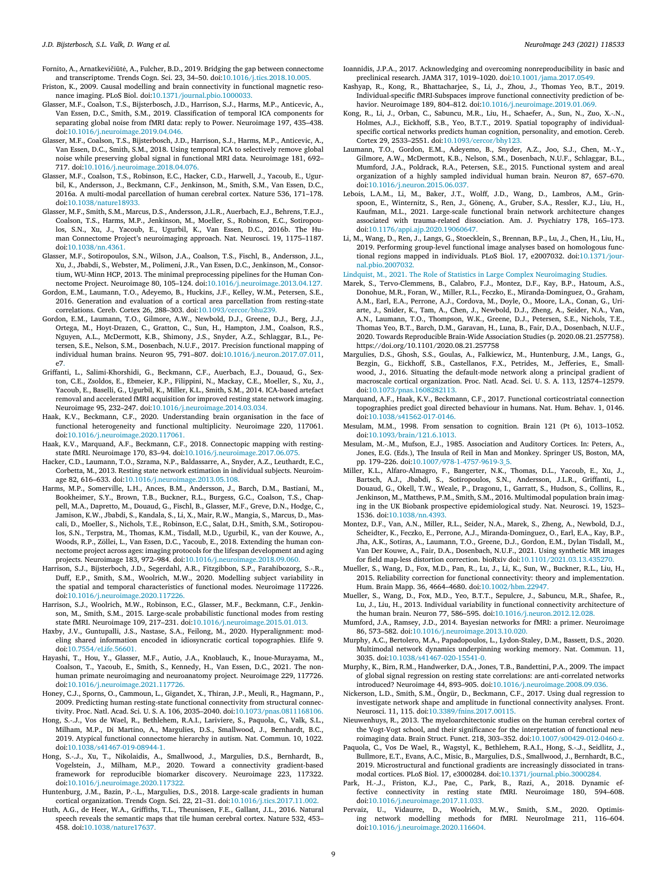<span id="page-8-0"></span>Fornito, A., Arnatkevičiūtė, A., Fulcher, B.D., 2019. Bridging the gap between connectome and transcriptome. Trends Cogn. Sci. 23, 34–50. doi[:10.1016/j.tics.2018.10.005.](https://doi.org/10.1016/j.tics.2018.10.005)

- Friston, K., 2009. Causal modelling and brain connectivity in functional magnetic resonance imaging. PLoS Biol. doi[:10.1371/journal.pbio.1000033.](https://doi.org/10.1371/journal.pbio.1000033)
- Glasser, M.F., Coalson, T.S., Bijsterbosch, J.D., Harrison, S.J., Harms, M.P., Anticevic, A., Van Essen, D.C., Smith, S.M., 2019. Classification of temporal ICA components for separating global noise from fMRI data: reply to Power. Neuroimage 197, 435–438. doi[:10.1016/j.neuroimage.2019.04.046.](https://doi.org/10.1016/j.neuroimage.2019.04.046)
- Glasser, M.F., Coalson, T.S., Bijsterbosch, J.D., Harrison, S.J., Harms, M.P., Anticevic, A., Van Essen, D.C., Smith, S.M., 2018. Using temporal ICA to selectively remove global noise while preserving global signal in functional MRI data. Neuroimage 181, 692– 717. doi[:10.1016/j.neuroimage.2018.04.076.](https://doi.org/10.1016/j.neuroimage.2018.04.076)
- Glasser, M.F., Coalson, T.S., Robinson, E.C., Hacker, C.D., Harwell, J., Yacoub, E., Ugurbil, K., Andersson, J., Beckmann, C.F., Jenkinson, M., Smith, S.M., Van Essen, D.C., 2016a. A multi-modal parcellation of human cerebral cortex. Nature 536, 171–178. doi[:10.1038/nature18933.](https://doi.org/10.1038/nature18933)
- Glasser, M.F., Smith, S.M., Marcus, D.S., Andersson, J.L.R., Auerbach, E.J., Behrens, T.E.J., Coalson, T.S., Harms, M.P., Jenkinson, M., Moeller, S., Robinson, E.C., Sotiropoulos, S.N., Xu, J., Yacoub, E., Ugurbil, K., Van Essen, D.C., 2016b. The Human Connectome Project's neuroimaging approach. Nat. Neurosci. 19, 1175–1187. doi[:10.1038/nn.4361.](https://doi.org/10.1038/nn.4361)
- Glasser, M.F., Sotiropoulos, S.N., Wilson, J.A., Coalson, T.S., Fischl, B., Andersson, J.L., Xu, J., Jbabdi, S., Webster, M., Polimeni, J.R., Van Essen, D.C., Jenkinson, M., Consortium, WU-Minn HCP, 2013. The minimal preprocessing pipelines for the Human Connectome Project. Neuroimage 80, 105–124. doi[:10.1016/j.neuroimage.2013.04.127.](https://doi.org/10.1016/j.neuroimage.2013.04.127)
- Gordon, E.M., Laumann, T.O., Adeyemo, B., Huckins, J.F., Kelley, W.M., Petersen, S.E., 2016. Generation and evaluation of a cortical area parcellation from resting-state correlations. Cereb. Cortex 26, 288–303. doi[:10.1093/cercor/bhu239.](https://doi.org/10.1093/cercor/bhu239)
- Gordon, E.M., Laumann, T.O., Gilmore, A.W., Newbold, D.J., Greene, D.J., Berg, J.J., Ortega, M., Hoyt-Drazen, C., Gratton, C., Sun, H., Hampton, J.M., Coalson, R.S., Nguyen, A.L., McDermott, K.B., Shimony, J.S., Snyder, A.Z., Schlaggar, B.L., Petersen, S.E., Nelson, S.M., Dosenbach, N.U.F., 2017. Precision functional mapping of individual human brains. Neuron 95, 791–807. doi[:10.1016/j.neuron.2017.07.011,](https://doi.org/10.1016/j.neuron.2017.07.011) e7.
- Griffanti, L., Salimi-Khorshidi, G., Beckmann, C.F., Auerbach, E.J., Douaud, G., Sexton, C.E., Zsoldos, E., Ebmeier, K.P., Filippini, N., Mackay, C.E., Moeller, S., Xu, J., Yacoub, E., Baselli, G., Ugurbil, K., Miller, K.L., Smith, S.M., 2014. ICA-based artefact removal and accelerated fMRI acquisition for improved resting state network imaging. Neuroimage 95, 232–247. doi[:10.1016/j.neuroimage.2014.03.034.](https://doi.org/10.1016/j.neuroimage.2014.03.034)
- Haak, K.V., Beckmann, C.F., 2020. Understanding brain organisation in the face of functional heterogeneity and functional multiplicity. Neuroimage 220, 117061. doi[:10.1016/j.neuroimage.2020.117061.](https://doi.org/10.1016/j.neuroimage.2020.117061)
- Haak, K.V., Marquand, A.F., Beckmann, C.F., 2018. Connectopic mapping with restingstate fMRI. Neuroimage 170, 83–94. doi[:10.1016/j.neuroimage.2017.06.075.](https://doi.org/10.1016/j.neuroimage.2017.06.075)
- Hacker, C.D., Laumann, T.O., Szrama, N.P., Baldassarre, A., Snyder, A.Z., Leuthardt, E.C., Corbetta, M., 2013. Resting state network estimation in individual subjects. Neuroimage 82, 616–633. doi[:10.1016/j.neuroimage.2013.05.108.](https://doi.org/10.1016/j.neuroimage.2013.05.108)
- Harms, M.P., Somerville, L.H., Ances, B.M., Andersson, J., Barch, D.M., Bastiani, M., Bookheimer, S.Y., Brown, T.B., Buckner, R.L., Burgess, G.C., Coalson, T.S., Chappell, M.A., Dapretto, M., Douaud, G., Fischl, B., Glasser, M.F., Greve, D.N., Hodge, C., Jamison, K.W., Jbabdi, S., Kandala, S., Li, X., Mair, R.W., Mangia, S., Marcus, D., Mascali, D., Moeller, S., Nichols, T.E., Robinson, E.C., Salat, D.H., Smith, S.M., Sotiropoulos, S.N., Terpstra, M., Thomas, K.M., Tisdall, M.D., Ugurbil, K., van der Kouwe, A., Woods, R.P., Zöllei, L., Van Essen, D.C., Yacoub, E., 2018. Extending the human connectome project across ages: imaging protocols for the lifespan development and aging projects. Neuroimage 183, 972–984. doi[:10.1016/j.neuroimage.2018.09.060.](https://doi.org/10.1016/j.neuroimage.2018.09.060)
- Harrison, S.J., Bijsterboch, J.D., Segerdahl, A.R., Fitzgibbon, S.P., Farahibozorg, S.-.R., Duff, E.P., Smith, S.M., Woolrich, M.W., 2020. Modelling subject variability in the spatial and temporal characteristics of functional modes. Neuroimage 117226. doi[:10.1016/j.neuroimage.2020.117226.](https://doi.org/10.1016/j.neuroimage.2020.117226)
- Harrison, S.J., Woolrich, M.W., Robinson, E.C., Glasser, M.F., Beckmann, C.F., Jenkinson, M., Smith, S.M., 2015. Large-scale probabilistic functional modes from resting state fMRI. Neuroimage 109, 217–231. doi[:10.1016/j.neuroimage.2015.01.013.](https://doi.org/10.1016/j.neuroimage.2015.01.013)
- Haxby, J.V., Guntupalli, J.S., Nastase, S.A., Feilong, M., 2020. Hyperalignment: modeling shared information encoded in idiosyncratic cortical topographies. Elife 9. doi[:10.7554/eLife.56601.](https://doi.org/10.7554/eLife.56601)
- Hayashi, T., Hou, Y., Glasser, M.F., Autio, J.A., Knoblauch, K., Inoue-Murayama, M., Coalson, T., Yacoub, E., Smith, S., Kennedy, H., Van Essen, D.C., 2021. The nonhuman primate neuroimaging and neuroanatomy project. Neuroimage 229, 117726. doi[:10.1016/j.neuroimage.2021.117726.](https://doi.org/10.1016/j.neuroimage.2021.117726)
- Honey, C.J., Sporns, O., Cammoun, L., Gigandet, X., Thiran, J.P., Meuli, R., Hagmann, P., 2009. Predicting human resting-state functional connectivity from structural connectivity. Proc. Natl. Acad. Sci. U. S. A. 106, 2035–2040. doi[:10.1073/pnas.0811168106.](https://doi.org/10.1073/pnas.0811168106)
- Hong, S.-.J., Vos de Wael, R., Bethlehem, R.A.I., Lariviere, S., Paquola, C., Valk, S.L., Milham, M.P., Di Martino, A., Margulies, D.S., Smallwood, J., Bernhardt, B.C., 2019. Atypical functional connectome hierarchy in autism. Nat. Commun. 10, 1022. doi[:10.1038/s41467-019-08944-1.](https://doi.org/10.1038/s41467-019-08944-1)
- Hong, S.-.J., Xu, T., Nikolaidis, A., Smallwood, J., Margulies, D.S., Bernhardt, B., Vogelstein, J., Milham, M.P., 2020. Toward a connectivity gradient-based framework for reproducible biomarker discovery. Neuroimage 223, 117322. doi[:10.1016/j.neuroimage.2020.117322.](https://doi.org/10.1016/j.neuroimage.2020.117322)
- Huntenburg, J.M., Bazin, P.-.L., Margulies, D.S., 2018. Large-scale gradients in human cortical organization. Trends Cogn. Sci. 22, 21–31. doi[:10.1016/j.tics.2017.11.002.](https://doi.org/10.1016/j.tics.2017.11.002)
- Huth, A.G., de Heer, W.A., Griffiths, T.L., Theunissen, F.E., Gallant, J.L., 2016. Natural speech reveals the semantic maps that tile human cerebral cortex. Nature 532, 453– 458. doi[:10.1038/nature17637.](https://doi.org/10.1038/nature17637)
- Ioannidis, J.P.A., 2017. Acknowledging and overcoming nonreproducibility in basic and preclinical research. JAMA 317, 1019–1020. doi[:10.1001/jama.2017.0549.](https://doi.org/10.1001/jama.2017.0549)
- Kashyap, R., Kong, R., Bhattacharjee, S., Li, J., Zhou, J., Thomas Yeo, B.T., 2019. Individual-specific fMRI-Subspaces improve functional connectivity prediction of behavior. Neuroimage 189, 804–812. doi[:10.1016/j.neuroimage.2019.01.069.](https://doi.org/10.1016/j.neuroimage.2019.01.069)
- Kong, R., Li, J., Orban, C., Sabuncu, M.R., Liu, H., Schaefer, A., Sun, N., Zuo, X.-.N., Holmes, A.J., Eickhoff, S.B., Yeo, B.T.T., 2019. Spatial topography of individualspecific cortical networks predicts human cognition, personality, and emotion. Cereb. Cortex 29, 2533–2551. doi[:10.1093/cercor/bhy123.](https://doi.org/10.1093/cercor/bhy123)
- Laumann, T.O., Gordon, E.M., Adeyemo, B., Snyder, A.Z., Joo, S.J., Chen, M.-.Y., Gilmore, A.W., McDermott, K.B., Nelson, S.M., Dosenbach, N.U.F., Schlaggar, B.L., Mumford, J.A., Poldrack, R.A., Petersen, S.E., 2015. Functional system and areal organization of a highly sampled individual human brain. Neuron 87, 657–670. doi[:10.1016/j.neuron.2015.06.037.](https://doi.org/10.1016/j.neuron.2015.06.037)
- Lebois, L.A.M., Li, M., Baker, J.T., Wolff, J.D., Wang, D., Lambros, A.M., Grinspoon, E., Winternitz, S., Ren, J., Gönenç, A., Gruber, S.A., Ressler, K.J., Liu, H., Kaufman, M.L., 2021. Large-scale functional brain network architecture changes associated with trauma-related dissociation. Am. J. Psychiatry 178, 165–173. doi[:10.1176/appi.ajp.2020.19060647.](https://doi.org/10.1176/appi.ajp.2020.19060647)
- Li, M., Wang, D., Ren, J., Langs, G., Stoecklein, S., Brennan, B.P., Lu, J., Chen, H., Liu, H., 2019. Performing group-level functional image analyses based on homologous functional regions mapped in individuals. PLoS Biol. 17, e2007032. doi:10.1371/jour[nal.pbio.2007032.](https://doi.org/10.1371/journal.pbio.2007032)

[Lindquist,](http://refhub.elsevier.com/S1053-8119(21)00806-5/sbref0066) M., 2021. The Role of Statistics in Large Complex [Neuroimaging](http://refhub.elsevier.com/S1053-8119(21)00806-5/sbref0066) Studies.

- Marek, S., Tervo-Clemmens, B., Calabro, F.J., Montez, D.F., Kay, B.P., Hatoum, A.S., Donohue, M.R., Foran, W., Miller, R.L., Feczko, E., Miranda-Dominguez, O., Graham, A.M., Earl, E.A., Perrone, A.J., Cordova, M., Doyle, O., Moore, L.A., Conan, G., Uriarte, J., Snider, K., Tam, A., Chen, J., Newbold, D.J., Zheng, A., Seider, N.A., Van, A.N., Laumann, T.O., Thompson, W.K., Greene, D.J., Petersen, S.E., Nichols, T.E., Thomas Yeo, B.T., Barch, D.M., Garavan, H., Luna, B., Fair, D.A., Dosenbach, N.U.F., 2020. Towards Reproducible Brain-Wide Association Studies (p. 2020.08.21.257758). https://doi.org/10.1101/2020.08.21.257758
- Margulies, D.S., Ghosh, S.S., Goulas, A., Falkiewicz, M., Huntenburg, J.M., Langs, G., Bezgin, G., Eickhoff, S.B., Castellanos, F.X., Petrides, M., Jefferies, E., Smallwood, J., 2016. Situating the default-mode network along a principal gradient of macroscale cortical organization. Proc. Natl. Acad. Sci. U. S. A. 113, 12574–12579. doi[:10.1073/pnas.1608282113.](https://doi.org/10.1073/pnas.1608282113)
- Marquand, A.F., Haak, K.V., Beckmann, C.F., 2017. Functional corticostriatal connection topographies predict goal directed behaviour in humans. Nat. Hum. Behav. 1, 0146. doi[:10.1038/s41562-017-0146.](https://doi.org/10.1038/s41562-017-0146)
- Mesulam, M.M., 1998. From sensation to cognition. Brain 121 (Pt 6), 1013–1052. doi[:10.1093/brain/121.6.1013.](https://doi.org/10.1093/brain/121.6.1013)
- Mesulam, M.-.M., Mufson, E.J., 1985. Association and Auditory Cortices. In: Peters, A., Jones, E.G. (Eds.), The Insula of Reil in Man and Monkey. Springer US, Boston, MA, pp. 179–226. doi[:10.1007/978-1-4757-9619-3\\_5.](https://doi.org/10.1007/978-1-4757-9619-3_5)
- Miller, K.L., Alfaro-Almagro, F., Bangerter, N.K., Thomas, D.L., Yacoub, E., Xu, J., Bartsch, A.J., Jbabdi, S., Sotiropoulos, S.N., Andersson, J.L.R., Griffanti, L., Douaud, G., Okell, T.W., Weale, P., Dragonu, I., Garratt, S., Hudson, S., Collins, R., Jenkinson, M., Matthews, P.M., Smith, S.M., 2016. Multimodal population brain imaging in the UK Biobank prospective epidemiological study. Nat. Neurosci. 19, 1523– 1536. doi[:10.1038/nn.4393.](https://doi.org/10.1038/nn.4393)
- Montez, D.F., Van, A.N., Miller, R.L., Seider, N.A., Marek, S., Zheng, A., Newbold, D.J., Scheidter, K., Feczko, E., Perrone, A.J., Miranda-Dominguez, O., Earl, E.A., Kay, B.P., Jha, A.K., Sotiras, A., Laumann, T.O., Greene, D.J., Gordon, E.M., Dylan Tisdall, M., Van Der Kouwe, A., Fair, D.A., Dosenbach, N.U.F., 2021. Using synthetic MR images for field map-less distortion correction. bioRxiv doi[:10.1101/2021.03.13.435270.](https://doi.org/10.1101/2021.03.13.435270)
- Mueller, S., Wang, D., Fox, M.D., Pan, R., Lu, J., Li, K., Sun, W., Buckner, R.L., Liu, H., 2015. Reliability correction for functional connectivity: theory and implementation. Hum. Brain Mapp. 36, 4664–4680. doi[:10.1002/hbm.22947.](https://doi.org/10.1002/hbm.22947)
- Mueller, S., Wang, D., Fox, M.D., Yeo, B.T.T., Sepulcre, J., Sabuncu, M.R., Shafee, R., Lu, J., Liu, H., 2013. Individual variability in functional connectivity architecture of the human brain. Neuron 77, 586–595. doi[:10.1016/j.neuron.2012.12.028.](https://doi.org/10.1016/j.neuron.2012.12.028)
- Mumford, J.A., Ramsey, J.D., 2014. Bayesian networks for fMRI: a primer. Neuroimage 86, 573–582. doi[:10.1016/j.neuroimage.2013.10.020.](https://doi.org/10.1016/j.neuroimage.2013.10.020)
- Murphy, A.C., Bertolero, M.A., Papadopoulos, L., Lydon-Staley, D.M., Bassett, D.S., 2020. Multimodal network dynamics underpinning working memory. Nat. Commun. 11, 3035. doi[:10.1038/s41467-020-15541-0.](https://doi.org/10.1038/s41467-020-15541-0)
- Murphy, K., Birn, R.M., Handwerker, D.A., Jones, T.B., Bandettini, P.A., 2009. The impact of global signal regression on resting state correlations: are anti-correlated networks introduced? Neuroimage 44, 893–905. doi[:10.1016/j.neuroimage.2008.09.036.](https://doi.org/10.1016/j.neuroimage.2008.09.036)
- Nickerson, L.D., Smith, S.M., Öngür, D., Beckmann, C.F., 2017. Using dual regression to investigate network shape and amplitude in functional connectivity analyses. Front. Neurosci. 11, 115. doi[:10.3389/fnins.2017.00115.](https://doi.org/10.3389/fnins.2017.00115)
- Nieuwenhuys, R., 2013. The myeloarchitectonic studies on the human cerebral cortex of the Vogt-Vogt school, and their significance for the interpretation of functional neuroimaging data. Brain Struct. Funct. 218, 303–352. doi[:10.1007/s00429-012-0460-z.](https://doi.org/10.1007/s00429-012-0460-z)
- Paquola, C., Vos De Wael, R., Wagstyl, K., Bethlehem, R.A.I., Hong, S.-.J., Seidlitz, J., Bullmore, E.T., Evans, A.C., Misic, B., Margulies, D.S., Smallwood, J., Bernhardt, B.C., 2019. Microstructural and functional gradients are increasingly dissociated in transmodal cortices. PLoS Biol. 17, e3000284. doi[:10.1371/journal.pbio.3000284.](https://doi.org/10.1371/journal.pbio.3000284)
- Park, H.-.J., Friston, K.J., Pae, C., Park, B., Razi, A., 2018. Dynamic ef-fective connectivity in resting state fMRI. Neuroimage 180, 594–608. doi[:10.1016/j.neuroimage.2017.11.033.](https://doi.org/10.1016/j.neuroimage.2017.11.033)
- Pervaiz, U., Vidaurre, D., Woolrich, M.W., Smith, S.M., 2020. Optimis-ing network modelling methods for fMRI. NeuroImage 211, 116–604. doi[:10.1016/j.neuroimage.2020.116604.](https://doi.org/10.1016/j.neuroimage.2020.116604)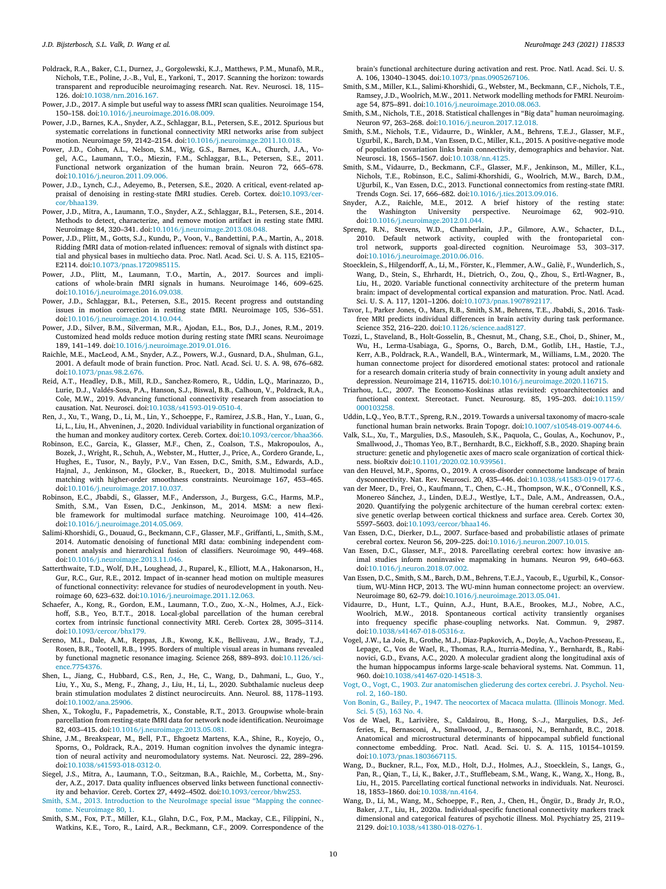- <span id="page-9-0"></span>Poldrack, R.A., Baker, C.I., Durnez, J., Gorgolewski, K.J., Matthews, P.M., Munafò, M.R., Nichols, T.E., Poline, J.-.B., Vul, E., Yarkoni, T., 2017. Scanning the horizon: towards transparent and reproducible neuroimaging research. Nat. Rev. Neurosci. 18, 115– 126. doi[:10.1038/nrn.2016.167.](https://doi.org/10.1038/nrn.2016.167)
- Power, J.D., 2017. A simple but useful way to assess fMRI scan qualities. Neuroimage 154, 150–158. doi[:10.1016/j.neuroimage.2016.08.009.](https://doi.org/10.1016/j.neuroimage.2016.08.009)
- Power, J.D., Barnes, K.A., Snyder, A.Z., Schlaggar, B.L., Petersen, S.E., 2012. Spurious but systematic correlations in functional connectivity MRI networks arise from subject motion. Neuroimage 59, 2142–2154. doi[:10.1016/j.neuroimage.2011.10.018.](https://doi.org/10.1016/j.neuroimage.2011.10.018)
- Power, J.D., Cohen, A.L., Nelson, S.M., Wig, G.S., Barnes, K.A., Church, J.A., Vogel, A.C., Laumann, T.O., Miezin, F.M., Schlaggar, B.L., Petersen, S.E., 2011. Functional network organization of the human brain. Neuron 72, 665–678. doi[:10.1016/j.neuron.2011.09.006.](https://doi.org/10.1016/j.neuron.2011.09.006)
- Power, J.D., Lynch, C.J., Adeyemo, B., Petersen, S.E., 2020. A critical, event-related appraisal of denoising in resting-state fMRI studies. Cereb. Cortex. [doi:10.1093/cer](https://doi.org/10.1093/cercor/bhaa139)cor/bhaa139.
- Power, J.D., Mitra, A., Laumann, T.O., Snyder, A.Z., Schlaggar, B.L., Petersen, S.E., 2014. Methods to detect, characterize, and remove motion artifact in resting state fMRI. Neuroimage 84, 320–341. doi[:10.1016/j.neuroimage.2013.08.048.](https://doi.org/10.1016/j.neuroimage.2013.08.048)
- Power, J.D., Plitt, M., Gotts, S.J., Kundu, P., Voon, V., Bandettini, P.A., Martin, A., 2018. Ridding fMRI data of motion-related influences: removal of signals with distinct spatial and physical bases in multiecho data. Proc. Natl. Acad. Sci. U. S. A. 115, E2105– E2114. doi[:10.1073/pnas.1720985115.](https://doi.org/10.1073/pnas.1720985115)
- Power, J.D., Plitt, M., Laumann, T.O., Martin, A., 2017. Sources and implications of whole-brain fMRI signals in humans. Neuroimage 146, 609–625. doi[:10.1016/j.neuroimage.2016.09.038.](https://doi.org/10.1016/j.neuroimage.2016.09.038)
- Power, J.D., Schlaggar, B.L., Petersen, S.E., 2015. Recent progress and outstanding issues in motion correction in resting state fMRI. Neuroimage 105, 536–551. doi[:10.1016/j.neuroimage.2014.10.044.](https://doi.org/10.1016/j.neuroimage.2014.10.044)
- Power, J.D., Silver, B.M., Silverman, M.R., Ajodan, E.L., Bos, D.J., Jones, R.M., 2019. Customized head molds reduce motion during resting state fMRI scans. Neuroimage 189, 141–149. doi[:10.1016/j.neuroimage.2019.01.016.](https://doi.org/10.1016/j.neuroimage.2019.01.016)
- Raichle, M.E., MacLeod, A.M., Snyder, A.Z., Powers, W.J., Gusnard, D.A., Shulman, G.L., 2001. A default mode of brain function. Proc. Natl. Acad. Sci. U. S. A. 98, 676–682. doi[:10.1073/pnas.98.2.676.](https://doi.org/10.1073/pnas.98.2.676)
- Reid, A.T., Headley, D.B., Mill, R.D., Sanchez-Romero, R., Uddin, L.Q., Marinazzo, D., Lurie, D.J., Valdés-Sosa, P.A., Hanson, S.J., Biswal, B.B., Calhoun, V., Poldrack, R.A., Cole, M.W., 2019. Advancing functional connectivity research from association to causation. Nat. Neurosci. doi[:10.1038/s41593-019-0510-4.](https://doi.org/10.1038/s41593-019-0510-4)
- Ren, J., Xu, T., Wang, D., Li, M., Lin, Y., Schoeppe, F., Ramirez, J.S.B., Han, Y., Luan, G., Li, L., Liu, H., Ahveninen, J., 2020. Individual variability in functional organization of the human and monkey auditory cortex. Cereb. Cortex. doi[:10.1093/cercor/bhaa366.](https://doi.org/10.1093/cercor/bhaa366)
- Robinson, E.C., Garcia, K., Glasser, M.F., Chen, Z., Coalson, T.S., Makropoulos, A., Bozek, J., Wright, R., Schuh, A., Webster, M., Hutter, J., Price, A., Cordero Grande, L., Hughes, E., Tusor, N., Bayly, P.V., Van Essen, D.C., Smith, S.M., Edwards, A.D., Hajnal, J., Jenkinson, M., Glocker, B., Rueckert, D., 2018. Multimodal surface matching with higher-order smoothness constraints. Neuroimage 167, 453–465. doi[:10.1016/j.neuroimage.2017.10.037.](https://doi.org/10.1016/j.neuroimage.2017.10.037)
- Robinson, E.C., Jbabdi, S., Glasser, M.F., Andersson, J., Burgess, G.C., Harms, M.P., Smith, S.M., Van Essen, D.C., Jenkinson, M., 2014. MSM: a new flexible framework for multimodal surface matching. Neuroimage 100, 414–426. doi[:10.1016/j.neuroimage.2014.05.069.](https://doi.org/10.1016/j.neuroimage.2014.05.069)
- Salimi-Khorshidi, G., Douaud, G., Beckmann, C.F., Glasser, M.F., Griffanti, L., Smith, S.M., 2014. Automatic denoising of functional MRI data: combining independent component analysis and hierarchical fusion of classifiers. Neuroimage 90, 449–468. doi[:10.1016/j.neuroimage.2013.11.046.](https://doi.org/10.1016/j.neuroimage.2013.11.046)
- Satterthwaite, T.D., Wolf, D.H., Loughead, J., Ruparel, K., Elliott, M.A., Hakonarson, H., Gur, R.C., Gur, R.E., 2012. Impact of in-scanner head motion on multiple measures of functional connectivity: relevance for studies of neurodevelopment in youth. Neuroimage 60, 623–632. doi[:10.1016/j.neuroimage.2011.12.063.](https://doi.org/10.1016/j.neuroimage.2011.12.063)
- Schaefer, A., Kong, R., Gordon, E.M., Laumann, T.O., Zuo, X.-.N., Holmes, A.J., Eickhoff, S.B., Yeo, B.T.T., 2018. Local-global parcellation of the human cerebral cortex from intrinsic functional connectivity MRI. Cereb. Cortex 28, 3095–3114. doi[:10.1093/cercor/bhx179.](https://doi.org/10.1093/cercor/bhx179)
- Sereno, M.I., Dale, A.M., Reppas, J.B., Kwong, K.K., Belliveau, J.W., Brady, T.J., Rosen, B.R., Tootell, R.B., 1995. Borders of multiple visual areas in humans revealed by functional magnetic resonance imaging. Science 268, 889–893. [doi:10.1126/sci](https://doi.org/10.1126/science.7754376)ence.7754376.
- Shen, L., Jiang, C., Hubbard, C.S., Ren, J., He, C., Wang, D., Dahmani, L., Guo, Y., Liu, Y., Xu, S., Meng, F., Zhang, J., Liu, H., Li, L., 2020. Subthalamic nucleus deep brain stimulation modulates 2 distinct neurocircuits. Ann. Neurol. 88, 1178–1193. doi[:10.1002/ana.25906.](https://doi.org/10.1002/ana.25906)
- Shen, X., Tokoglu, F., Papademetris, X., Constable, R.T., 2013. Groupwise whole-brain parcellation from resting-state fMRI data for network node identification. Neuroimage 82, 403–415. doi[:10.1016/j.neuroimage.2013.05.081.](https://doi.org/10.1016/j.neuroimage.2013.05.081)
- Shine, J.M., Breakspear, M., Bell, P.T., Ehgoetz Martens, K.A., Shine, R., Koyejo, O., Sporns, O., Poldrack, R.A., 2019. Human cognition involves the dynamic integration of neural activity and neuromodulatory systems. Nat. Neurosci. 22, 289–296. doi[:10.1038/s41593-018-0312-0.](https://doi.org/10.1038/s41593-018-0312-0)
- Siegel, J.S., Mitra, A., Laumann, T.O., Seitzman, B.A., Raichle, M., Corbetta, M., Snyder, A.Z., 2017. Data quality influences observed links between functional connectivity and behavior. Cereb. Cortex 27, 4492–4502. doi[:10.1093/cercor/bhw253.](https://doi.org/10.1093/cercor/bhw253)
- [Smith,](http://refhub.elsevier.com/S1053-8119(21)00806-5/sbref0107) S.M., 2013. [Introduction](http://refhub.elsevier.com/S1053-8119(21)00806-5/sbref0107) to the NeuroImage special issue "Mapping the connectome. Neuroimage 80, 1.
- Smith, S.M., Fox, P.T., Miller, K.L., Glahn, D.C., Fox, P.M., Mackay, C.E., Filippini, N., Watkins, K.E., Toro, R., Laird, A.R., Beckmann, C.F., 2009. Correspondence of the

brain's functional architecture during activation and rest. Proc. Natl. Acad. Sci. U. S. A. 106, 13040–13045. doi[:10.1073/pnas.0905267106.](https://doi.org/10.1073/pnas.0905267106)

- Smith, S.M., Miller, K.L., Salimi-Khorshidi, G., Webster, M., Beckmann, C.F., Nichols, T.E., Ramsey, J.D., Woolrich, M.W., 2011. Network modelling methods for FMRI. Neuroimage 54, 875–891. doi[:10.1016/j.neuroimage.2010.08.063.](https://doi.org/10.1016/j.neuroimage.2010.08.063)
- Smith, S.M., Nichols, T.E., 2018. Statistical challenges in "Big data" human neuroimaging. Neuron 97, 263–268. doi[:10.1016/j.neuron.2017.12.018.](https://doi.org/10.1016/j.neuron.2017.12.018)
- Smith, S.M., Nichols, T.E., Vidaurre, D., Winkler, A.M., Behrens, T.E.J., Glasser, M.F., Ugurbil, K., Barch, D.M., Van Essen, D.C., Miller, K.L., 2015. A positive-negative mode of population covariation links brain connectivity, demographics and behavior. Nat. Neurosci. 18, 1565–1567. doi[:10.1038/nn.4125.](https://doi.org/10.1038/nn.4125)
- Smith, S.M., Vidaurre, D., Beckmann, C.F., Glasser, M.F., Jenkinson, M., Miller, K.L., Nichols, T.E., Robinson, E.C., Salimi-Khorshidi, G., Woolrich, M.W., Barch, D.M., Uğurbil, K., Van Essen, D.C., 2013. Functional connectomics from resting-state fMRI. Trends Cogn. Sci. 17, 666–682. doi[:10.1016/j.tics.2013.09.016.](https://doi.org/10.1016/j.tics.2013.09.016)
- Snyder, A.Z., Raichle, M.E., 2012. A brief history of the resting state: the Washington University perspective. Neuroimage 62, 902–910. doi[:10.1016/j.neuroimage.2012.01.044.](https://doi.org/10.1016/j.neuroimage.2012.01.044)
- Spreng, R.N., Stevens, W.D., Chamberlain, J.P., Gilmore, A.W., Schacter, D.L., 2010. Default network activity, coupled with the frontoparietal control network, supports goal-directed cognition. Neuroimage 53, 303–317. doi[:10.1016/j.neuroimage.2010.06.016.](https://doi.org/10.1016/j.neuroimage.2010.06.016)
- Stoecklein, S., Hilgendorff, A., Li, M., Förster, K., Flemmer, A.W., Galiè, F., Wunderlich, S., Wang, D., Stein, S., Ehrhardt, H., Dietrich, O., Zou, Q., Zhou, S., Ertl-Wagner, B., Liu, H., 2020. Variable functional connectivity architecture of the preterm human brain: impact of developmental cortical expansion and maturation. Proc. Natl. Acad. Sci. U. S. A. 117, 1201–1206. doi[:10.1073/pnas.1907892117.](https://doi.org/10.1073/pnas.1907892117)
- Tavor, I., Parker Jones, O., Mars, R.B., Smith, S.M., Behrens, T.E., Jbabdi, S., 2016. Taskfree MRI predicts individual differences in brain activity during task performance. Science 352, 216–220. doi[:10.1126/science.aad8127.](https://doi.org/10.1126/science.aad8127)
- Tozzi, L., Staveland, B., Holt-Gosselin, B., Chesnut, M., Chang, S.E., Choi, D., Shiner, M., Wu, H., Lerma-Usabiaga, G., Sporns, O., Barch, D.M., Gotlib, I.H., Hastie, T.J., Kerr, A.B., Poldrack, R.A., Wandell, B.A., Wintermark, M., Williams, L.M., 2020. The human connectome project for disordered emotional states: protocol and rationale for a research domain criteria study of brain connectivity in young adult anxiety and depression. Neuroimage 214, 116715. doi[:10.1016/j.neuroimage.2020.116715.](https://doi.org/10.1016/j.neuroimage.2020.116715)
- Triarhou, L.C., 2007. The Economo-Koskinas atlas revisited: cytoarchitectonics and functional context. Stereotact. Funct. Neurosurg. 85, 195–203. [doi:10.1159/](https://doi.org/10.1159/\penalty -\@M 000103258) 000103258.
- Uddin, L.Q., Yeo, B.T.T., Spreng, R.N., 2019. Towards a universal taxonomy of macro-scale functional human brain networks. Brain Topogr. doi[:10.1007/s10548-019-00744-6.](https://doi.org/10.1007/s10548-019-00744-6)
- Valk, S.L., Xu, T., Margulies, D.S., Masouleh, S.K., Paquola, C., Goulas, A., Kochunov, P., Smallwood, J., Thomas Yeo, B.T., Bernhardt, B.C., Eickhoff, S.B., 2020. Shaping brain structure: genetic and phylogenetic axes of macro scale organization of cortical thickness. bioRxiv doi[:10.1101/2020.02.10.939561.](https://doi.org/10.1101/2020.02.10.939561)
- van den Heuvel, M.P., Sporns, O., 2019. A cross-disorder connectome landscape of brain dysconnectivity. Nat. Rev. Neurosci. 20, 435–446. doi[:10.1038/s41583-019-0177-6.](https://doi.org/10.1038/s41583-019-0177-6)
- van der Meer, D., Frei, O., Kaufmann, T., Chen, C.-.H., Thompson, W.K., O'Connell, K.S., Monereo Sánchez, J., Linden, D.E.J., Westlye, L.T., Dale, A.M., Andreassen, O.A., 2020. Quantifying the polygenic architecture of the human cerebral cortex: extensive genetic overlap between cortical thickness and surface area. Cereb. Cortex 30, 5597–5603. doi[:10.1093/cercor/bhaa146.](https://doi.org/10.1093/cercor/bhaa146)
- Van Essen, D.C., Dierker, D.L., 2007. Surface-based and probabilistic atlases of primate cerebral cortex. Neuron 56, 209–225. doi[:10.1016/j.neuron.2007.10.015.](https://doi.org/10.1016/j.neuron.2007.10.015)
- Van Essen, D.C., Glasser, M.F., 2018. Parcellating cerebral cortex: how invasive animal studies inform noninvasive mapmaking in humans. Neuron 99, 640–663. doi[:10.1016/j.neuron.2018.07.002.](https://doi.org/10.1016/j.neuron.2018.07.002)
- Van Essen, D.C., Smith, S.M., Barch, D.M., Behrens, T.E.J., Yacoub, E., Ugurbil, K., Consortium, WU-Minn HCP, 2013. The WU-minn human connectome project: an overview. Neuroimage 80, 62–79. doi[:10.1016/j.neuroimage.2013.05.041.](https://doi.org/10.1016/j.neuroimage.2013.05.041)
- Vidaurre, D., Hunt, L.T., Quinn, A.J., Hunt, B.A.E., Brookes, M.J., Nobre, A.C., Woolrich, M.W., 2018. Spontaneous cortical activity transiently organises into frequency specific phase-coupling networks. Nat. Commun. 9, 2987. doi[:10.1038/s41467-018-05316-z.](https://doi.org/10.1038/s41467-018-05316-z)
- Vogel, J.W., La Joie, R., Grothe, M.J., Diaz-Papkovich, A., Doyle, A., Vachon-Presseau, E., Lepage, C., Vos de Wael, R., Thomas, R.A., Iturria-Medina, Y., Bernhardt, B., Rabinovici, G.D., Evans, A.C., 2020. A molecular gradient along the longitudinal axis of the human hippocampus informs large-scale behavioral systems. Nat. Commun. 11, 960. doi[:10.1038/s41467-020-14518-3.](https://doi.org/10.1038/s41467-020-14518-3)
- [Vogt,](http://refhub.elsevier.com/S1053-8119(21)00806-5/sbref0128) O., [Vogt,](http://refhub.elsevier.com/S1053-8119(21)00806-5/sbref0128) C., 1903. Zur [anatomischen](http://refhub.elsevier.com/S1053-8119(21)00806-5/sbref0128) gliederung des cortex cerebri. J. Psychol. Neurol. 2, 160–180.
- Von [Bonin,](http://refhub.elsevier.com/S1053-8119(21)00806-5/sbref0129) G., [Bailey,](http://refhub.elsevier.com/S1053-8119(21)00806-5/sbref0129) P., 1947. The [neocortex](http://refhub.elsevier.com/S1053-8119(21)00806-5/sbref0129) of Macaca mulatta. (Illinois Monogr. Med. Sci. 5 (5), 163 No. 4.
- Vos de Wael, R., Larivière, S., Caldairou, B., Hong, S.-.J., Margulies, D.S., Jefferies, E., Bernasconi, A., Smallwood, J., Bernasconi, N., Bernhardt, B.C., 2018. Anatomical and microstructural determinants of hippocampal subfield functional connectome embedding. Proc. Natl. Acad. Sci. U. S. A. 115, 10154–10159. doi[:10.1073/pnas.1803667115.](https://doi.org/10.1073/pnas.1803667115)
- Wang, D., Buckner, R.L., Fox, M.D., Holt, D.J., Holmes, A.J., Stoecklein, S., Langs, G., Pan, R., Qian, T., Li, K., Baker, J.T., Stufflebeam, S.M., Wang, K., Wang, X., Hong, B., Liu, H., 2015. Parcellating cortical functional networks in individuals. Nat. Neurosci. 18, 1853–1860. doi[:10.1038/nn.4164.](https://doi.org/10.1038/nn.4164)
- Wang, D., Li, M., Wang, M., Schoeppe, F., Ren, J., Chen, H., Öngür, D., Brady Jr, R.O., Baker, J.T., Liu, H., 2020a. Individual-specific functional connectivity markers track dimensional and categorical features of psychotic illness. Mol. Psychiatry 25, 2119– 2129. doi[:10.1038/s41380-018-0276-1.](https://doi.org/10.1038/s41380-018-0276-1)